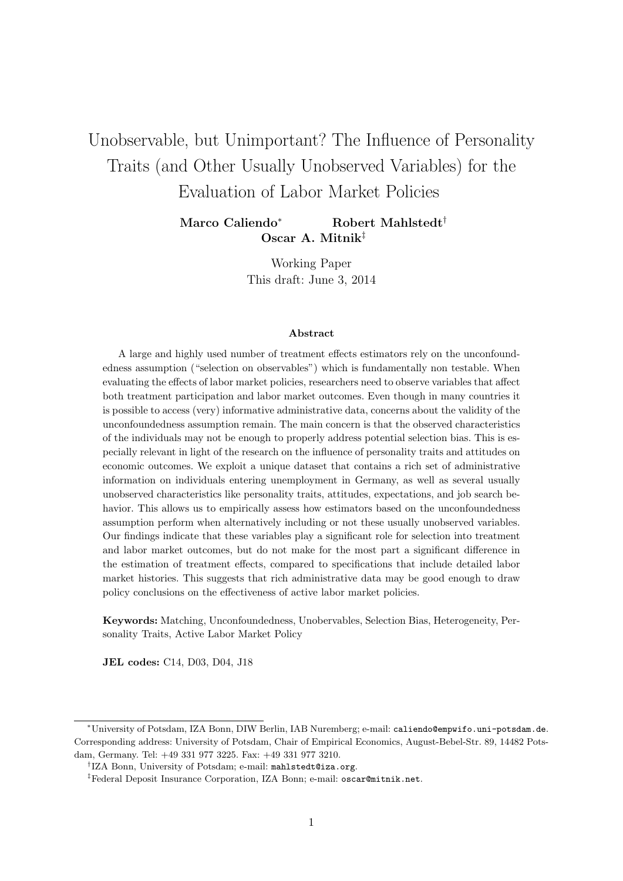# Unobservable, but Unimportant? The Influence of Personality Traits (and Other Usually Unobserved Variables) for the Evaluation of Labor Market Policies

Marco Caliendo<sup>∗</sup> Robert Mahlstedt<sup>†</sup> Oscar A. Mitnik‡

> Working Paper This draft: June 3, 2014

#### Abstract

A large and highly used number of treatment effects estimators rely on the unconfoundedness assumption ("selection on observables") which is fundamentally non testable. When evaluating the effects of labor market policies, researchers need to observe variables that affect both treatment participation and labor market outcomes. Even though in many countries it is possible to access (very) informative administrative data, concerns about the validity of the unconfoundedness assumption remain. The main concern is that the observed characteristics of the individuals may not be enough to properly address potential selection bias. This is especially relevant in light of the research on the influence of personality traits and attitudes on economic outcomes. We exploit a unique dataset that contains a rich set of administrative information on individuals entering unemployment in Germany, as well as several usually unobserved characteristics like personality traits, attitudes, expectations, and job search behavior. This allows us to empirically assess how estimators based on the unconfoundedness assumption perform when alternatively including or not these usually unobserved variables. Our findings indicate that these variables play a significant role for selection into treatment and labor market outcomes, but do not make for the most part a significant difference in the estimation of treatment effects, compared to specifications that include detailed labor market histories. This suggests that rich administrative data may be good enough to draw policy conclusions on the effectiveness of active labor market policies.

Keywords: Matching, Unconfoundedness, Unobervables, Selection Bias, Heterogeneity, Personality Traits, Active Labor Market Policy

JEL codes: C14, D03, D04, J18

<sup>∗</sup>University of Potsdam, IZA Bonn, DIW Berlin, IAB Nuremberg; e-mail: caliendo@empwifo.uni-potsdam.de. Corresponding address: University of Potsdam, Chair of Empirical Economics, August-Bebel-Str. 89, 14482 Potsdam, Germany. Tel: +49 331 977 3225. Fax: +49 331 977 3210.

<sup>†</sup> IZA Bonn, University of Potsdam; e-mail: mahlstedt@iza.org.

<sup>‡</sup>Federal Deposit Insurance Corporation, IZA Bonn; e-mail: oscar@mitnik.net.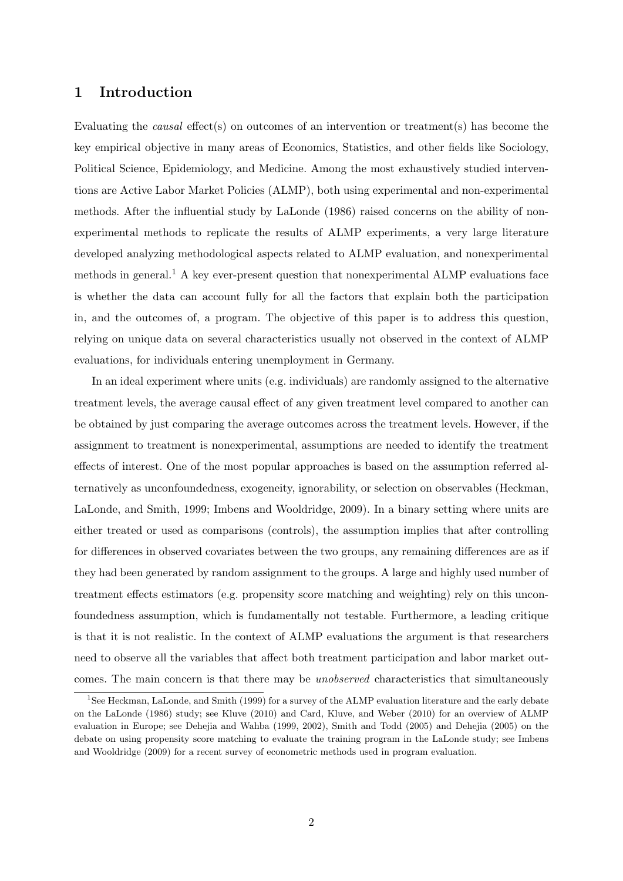## 1 Introduction

Evaluating the causal effect(s) on outcomes of an intervention or treatment(s) has become the key empirical objective in many areas of Economics, Statistics, and other fields like Sociology, Political Science, Epidemiology, and Medicine. Among the most exhaustively studied interventions are Active Labor Market Policies (ALMP), both using experimental and non-experimental methods. After the influential study by LaLonde (1986) raised concerns on the ability of nonexperimental methods to replicate the results of ALMP experiments, a very large literature developed analyzing methodological aspects related to ALMP evaluation, and nonexperimental methods in general.<sup>1</sup> A key ever-present question that nonexperimental ALMP evaluations face is whether the data can account fully for all the factors that explain both the participation in, and the outcomes of, a program. The objective of this paper is to address this question, relying on unique data on several characteristics usually not observed in the context of ALMP evaluations, for individuals entering unemployment in Germany.

In an ideal experiment where units (e.g. individuals) are randomly assigned to the alternative treatment levels, the average causal effect of any given treatment level compared to another can be obtained by just comparing the average outcomes across the treatment levels. However, if the assignment to treatment is nonexperimental, assumptions are needed to identify the treatment effects of interest. One of the most popular approaches is based on the assumption referred alternatively as unconfoundedness, exogeneity, ignorability, or selection on observables (Heckman, LaLonde, and Smith, 1999; Imbens and Wooldridge, 2009). In a binary setting where units are either treated or used as comparisons (controls), the assumption implies that after controlling for differences in observed covariates between the two groups, any remaining differences are as if they had been generated by random assignment to the groups. A large and highly used number of treatment effects estimators (e.g. propensity score matching and weighting) rely on this unconfoundedness assumption, which is fundamentally not testable. Furthermore, a leading critique is that it is not realistic. In the context of ALMP evaluations the argument is that researchers need to observe all the variables that affect both treatment participation and labor market outcomes. The main concern is that there may be unobserved characteristics that simultaneously

<sup>&</sup>lt;sup>1</sup>See Heckman, LaLonde, and Smith (1999) for a survey of the ALMP evaluation literature and the early debate on the LaLonde (1986) study; see Kluve (2010) and Card, Kluve, and Weber (2010) for an overview of ALMP evaluation in Europe; see Dehejia and Wahba (1999, 2002), Smith and Todd (2005) and Dehejia (2005) on the debate on using propensity score matching to evaluate the training program in the LaLonde study; see Imbens and Wooldridge (2009) for a recent survey of econometric methods used in program evaluation.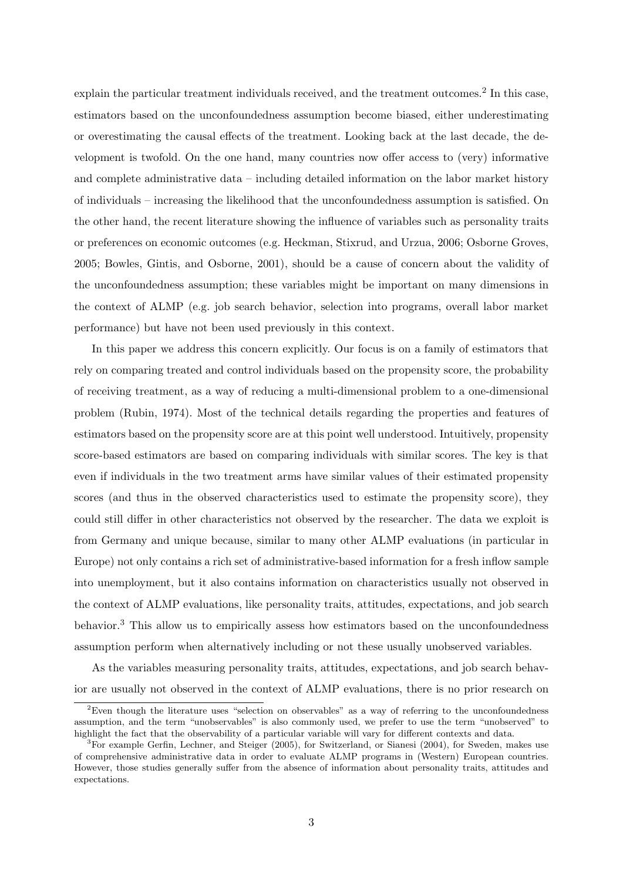explain the particular treatment individuals received, and the treatment outcomes.<sup>2</sup> In this case, estimators based on the unconfoundedness assumption become biased, either underestimating or overestimating the causal effects of the treatment. Looking back at the last decade, the development is twofold. On the one hand, many countries now offer access to (very) informative and complete administrative data – including detailed information on the labor market history of individuals – increasing the likelihood that the unconfoundedness assumption is satisfied. On the other hand, the recent literature showing the influence of variables such as personality traits or preferences on economic outcomes (e.g. Heckman, Stixrud, and Urzua, 2006; Osborne Groves, 2005; Bowles, Gintis, and Osborne, 2001), should be a cause of concern about the validity of the unconfoundedness assumption; these variables might be important on many dimensions in the context of ALMP (e.g. job search behavior, selection into programs, overall labor market performance) but have not been used previously in this context.

In this paper we address this concern explicitly. Our focus is on a family of estimators that rely on comparing treated and control individuals based on the propensity score, the probability of receiving treatment, as a way of reducing a multi-dimensional problem to a one-dimensional problem (Rubin, 1974). Most of the technical details regarding the properties and features of estimators based on the propensity score are at this point well understood. Intuitively, propensity score-based estimators are based on comparing individuals with similar scores. The key is that even if individuals in the two treatment arms have similar values of their estimated propensity scores (and thus in the observed characteristics used to estimate the propensity score), they could still differ in other characteristics not observed by the researcher. The data we exploit is from Germany and unique because, similar to many other ALMP evaluations (in particular in Europe) not only contains a rich set of administrative-based information for a fresh inflow sample into unemployment, but it also contains information on characteristics usually not observed in the context of ALMP evaluations, like personality traits, attitudes, expectations, and job search behavior.<sup>3</sup> This allow us to empirically assess how estimators based on the unconfoundedness assumption perform when alternatively including or not these usually unobserved variables.

As the variables measuring personality traits, attitudes, expectations, and job search behavior are usually not observed in the context of ALMP evaluations, there is no prior research on

<sup>&</sup>lt;sup>2</sup>Even though the literature uses "selection on observables" as a way of referring to the unconfoundedness assumption, and the term "unobservables" is also commonly used, we prefer to use the term "unobserved" to highlight the fact that the observability of a particular variable will vary for different contexts and data.

<sup>3</sup>For example Gerfin, Lechner, and Steiger (2005), for Switzerland, or Sianesi (2004), for Sweden, makes use of comprehensive administrative data in order to evaluate ALMP programs in (Western) European countries. However, those studies generally suffer from the absence of information about personality traits, attitudes and expectations.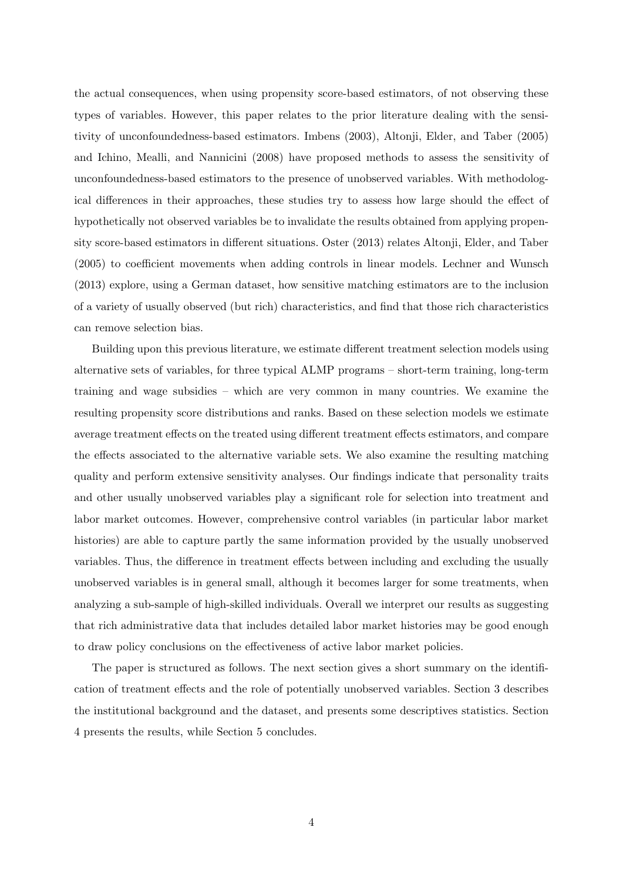the actual consequences, when using propensity score-based estimators, of not observing these types of variables. However, this paper relates to the prior literature dealing with the sensitivity of unconfoundedness-based estimators. Imbens (2003), Altonji, Elder, and Taber (2005) and Ichino, Mealli, and Nannicini (2008) have proposed methods to assess the sensitivity of unconfoundedness-based estimators to the presence of unobserved variables. With methodological differences in their approaches, these studies try to assess how large should the effect of hypothetically not observed variables be to invalidate the results obtained from applying propensity score-based estimators in different situations. Oster (2013) relates Altonji, Elder, and Taber (2005) to coefficient movements when adding controls in linear models. Lechner and Wunsch (2013) explore, using a German dataset, how sensitive matching estimators are to the inclusion of a variety of usually observed (but rich) characteristics, and find that those rich characteristics can remove selection bias.

Building upon this previous literature, we estimate different treatment selection models using alternative sets of variables, for three typical ALMP programs – short-term training, long-term training and wage subsidies – which are very common in many countries. We examine the resulting propensity score distributions and ranks. Based on these selection models we estimate average treatment effects on the treated using different treatment effects estimators, and compare the effects associated to the alternative variable sets. We also examine the resulting matching quality and perform extensive sensitivity analyses. Our findings indicate that personality traits and other usually unobserved variables play a significant role for selection into treatment and labor market outcomes. However, comprehensive control variables (in particular labor market histories) are able to capture partly the same information provided by the usually unobserved variables. Thus, the difference in treatment effects between including and excluding the usually unobserved variables is in general small, although it becomes larger for some treatments, when analyzing a sub-sample of high-skilled individuals. Overall we interpret our results as suggesting that rich administrative data that includes detailed labor market histories may be good enough to draw policy conclusions on the effectiveness of active labor market policies.

The paper is structured as follows. The next section gives a short summary on the identification of treatment effects and the role of potentially unobserved variables. Section 3 describes the institutional background and the dataset, and presents some descriptives statistics. Section 4 presents the results, while Section 5 concludes.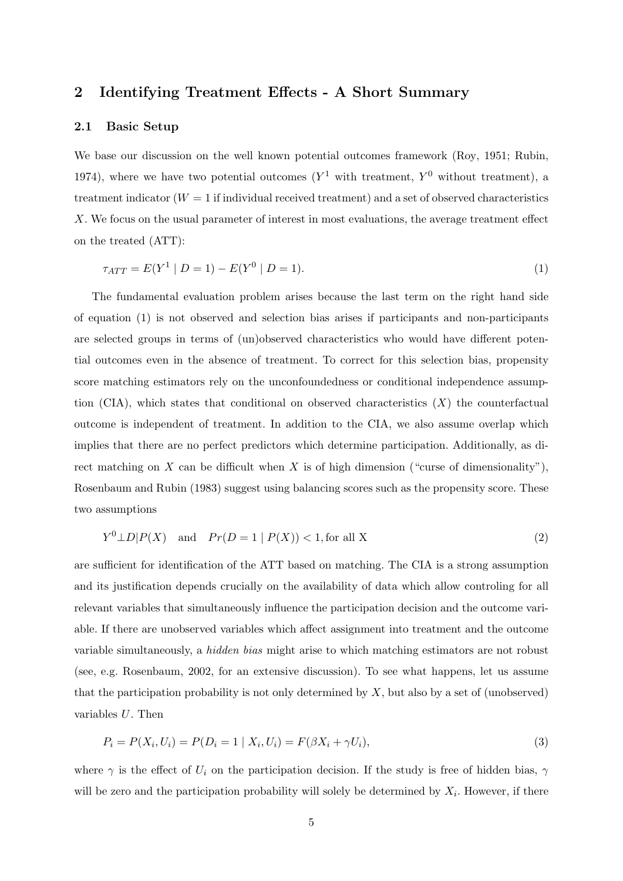## 2 Identifying Treatment Effects - A Short Summary

#### 2.1 Basic Setup

We base our discussion on the well known potential outcomes framework (Roy, 1951; Rubin, 1974), where we have two potential outcomes  $(Y^1$  with treatment,  $Y^0$  without treatment), a treatment indicator  $(W = 1$  if individual received treatment) and a set of observed characteristics X. We focus on the usual parameter of interest in most evaluations, the average treatment effect on the treated (ATT):

$$
\tau_{ATT} = E(Y^1 \mid D = 1) - E(Y^0 \mid D = 1). \tag{1}
$$

The fundamental evaluation problem arises because the last term on the right hand side of equation (1) is not observed and selection bias arises if participants and non-participants are selected groups in terms of (un)observed characteristics who would have different potential outcomes even in the absence of treatment. To correct for this selection bias, propensity score matching estimators rely on the unconfoundedness or conditional independence assumption (CIA), which states that conditional on observed characteristics  $(X)$  the counterfactual outcome is independent of treatment. In addition to the CIA, we also assume overlap which implies that there are no perfect predictors which determine participation. Additionally, as direct matching on X can be difficult when X is of high dimension ("curse of dimensionality"), Rosenbaum and Rubin (1983) suggest using balancing scores such as the propensity score. These two assumptions

$$
Y^{0} \perp D | P(X) \quad \text{and} \quad Pr(D = 1 | P(X)) < 1, \text{for all } X \tag{2}
$$

are sufficient for identification of the ATT based on matching. The CIA is a strong assumption and its justification depends crucially on the availability of data which allow controling for all relevant variables that simultaneously influence the participation decision and the outcome variable. If there are unobserved variables which affect assignment into treatment and the outcome variable simultaneously, a hidden bias might arise to which matching estimators are not robust (see, e.g. Rosenbaum, 2002, for an extensive discussion). To see what happens, let us assume that the participation probability is not only determined by  $X$ , but also by a set of (unobserved) variables U. Then

$$
P_i = P(X_i, U_i) = P(D_i = 1 | X_i, U_i) = F(\beta X_i + \gamma U_i),
$$
\n(3)

where  $\gamma$  is the effect of  $U_i$  on the participation decision. If the study is free of hidden bias,  $\gamma$ will be zero and the participation probability will solely be determined by  $X_i$ . However, if there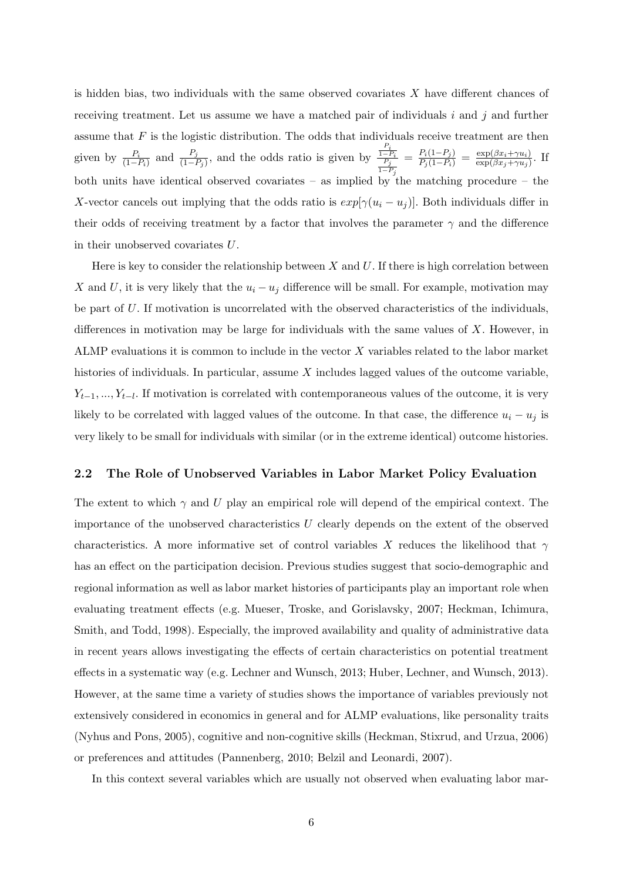is hidden bias, two individuals with the same observed covariates  $X$  have different chances of receiving treatment. Let us assume we have a matched pair of individuals  $i$  and  $j$  and further assume that  $F$  is the logistic distribution. The odds that individuals receive treatment are then given by  $\frac{P_i}{(1-P_i)}$  and  $\frac{P_j}{(1-P_j)}$ , and the odds ratio is given by  $\frac{P_i}{\frac{1-P_i}{P_j}}$  $1-P_j$  $=\frac{P_i(1-P_j)}{P_j(1-P_i)}=\frac{\exp(\beta x_i+\gamma u_i)}{\exp(\beta x_j+\gamma u_j)}$  $\frac{\exp(\beta x_i + \gamma u_i)}{\exp(\beta x_j + \gamma u_j)}$ . If both units have identical observed covariates – as implied by the matching procedure – the X-vector cancels out implying that the odds ratio is  $exp[\gamma(u_i - u_j)]$ . Both individuals differ in their odds of receiving treatment by a factor that involves the parameter  $\gamma$  and the difference in their unobserved covariates U.

Here is key to consider the relationship between  $X$  and  $U$ . If there is high correlation between X and U, it is very likely that the  $u_i - u_j$  difference will be small. For example, motivation may be part of  $U$ . If motivation is uncorrelated with the observed characteristics of the individuals, differences in motivation may be large for individuals with the same values of  $X$ . However, in ALMP evaluations it is common to include in the vector X variables related to the labor market histories of individuals. In particular, assume  $X$  includes lagged values of the outcome variable,  $Y_{t-1},..., Y_{t-l}$ . If motivation is correlated with contemporaneous values of the outcome, it is very likely to be correlated with lagged values of the outcome. In that case, the difference  $u_i - u_j$  is very likely to be small for individuals with similar (or in the extreme identical) outcome histories.

## 2.2 The Role of Unobserved Variables in Labor Market Policy Evaluation

The extent to which  $\gamma$  and U play an empirical role will depend of the empirical context. The importance of the unobserved characteristics U clearly depends on the extent of the observed characteristics. A more informative set of control variables X reduces the likelihood that  $\gamma$ has an effect on the participation decision. Previous studies suggest that socio-demographic and regional information as well as labor market histories of participants play an important role when evaluating treatment effects (e.g. Mueser, Troske, and Gorislavsky, 2007; Heckman, Ichimura, Smith, and Todd, 1998). Especially, the improved availability and quality of administrative data in recent years allows investigating the effects of certain characteristics on potential treatment effects in a systematic way (e.g. Lechner and Wunsch, 2013; Huber, Lechner, and Wunsch, 2013). However, at the same time a variety of studies shows the importance of variables previously not extensively considered in economics in general and for ALMP evaluations, like personality traits (Nyhus and Pons, 2005), cognitive and non-cognitive skills (Heckman, Stixrud, and Urzua, 2006) or preferences and attitudes (Pannenberg, 2010; Belzil and Leonardi, 2007).

In this context several variables which are usually not observed when evaluating labor mar-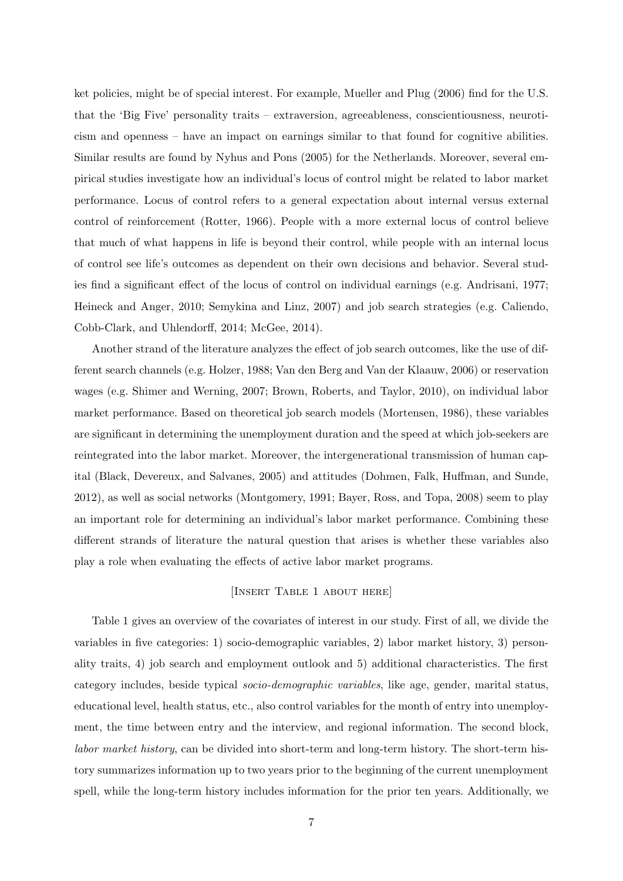ket policies, might be of special interest. For example, Mueller and Plug (2006) find for the U.S. that the 'Big Five' personality traits – extraversion, agreeableness, conscientiousness, neuroticism and openness – have an impact on earnings similar to that found for cognitive abilities. Similar results are found by Nyhus and Pons (2005) for the Netherlands. Moreover, several empirical studies investigate how an individual's locus of control might be related to labor market performance. Locus of control refers to a general expectation about internal versus external control of reinforcement (Rotter, 1966). People with a more external locus of control believe that much of what happens in life is beyond their control, while people with an internal locus of control see life's outcomes as dependent on their own decisions and behavior. Several studies find a significant effect of the locus of control on individual earnings (e.g. Andrisani, 1977; Heineck and Anger, 2010; Semykina and Linz, 2007) and job search strategies (e.g. Caliendo, Cobb-Clark, and Uhlendorff, 2014; McGee, 2014).

Another strand of the literature analyzes the effect of job search outcomes, like the use of different search channels (e.g. Holzer, 1988; Van den Berg and Van der Klaauw, 2006) or reservation wages (e.g. Shimer and Werning, 2007; Brown, Roberts, and Taylor, 2010), on individual labor market performance. Based on theoretical job search models (Mortensen, 1986), these variables are significant in determining the unemployment duration and the speed at which job-seekers are reintegrated into the labor market. Moreover, the intergenerational transmission of human capital (Black, Devereux, and Salvanes, 2005) and attitudes (Dohmen, Falk, Huffman, and Sunde, 2012), as well as social networks (Montgomery, 1991; Bayer, Ross, and Topa, 2008) seem to play an important role for determining an individual's labor market performance. Combining these different strands of literature the natural question that arises is whether these variables also play a role when evaluating the effects of active labor market programs.

## [Insert Table 1 about here]

Table 1 gives an overview of the covariates of interest in our study. First of all, we divide the variables in five categories: 1) socio-demographic variables, 2) labor market history, 3) personality traits, 4) job search and employment outlook and 5) additional characteristics. The first category includes, beside typical socio-demographic variables, like age, gender, marital status, educational level, health status, etc., also control variables for the month of entry into unemployment, the time between entry and the interview, and regional information. The second block, labor market history, can be divided into short-term and long-term history. The short-term history summarizes information up to two years prior to the beginning of the current unemployment spell, while the long-term history includes information for the prior ten years. Additionally, we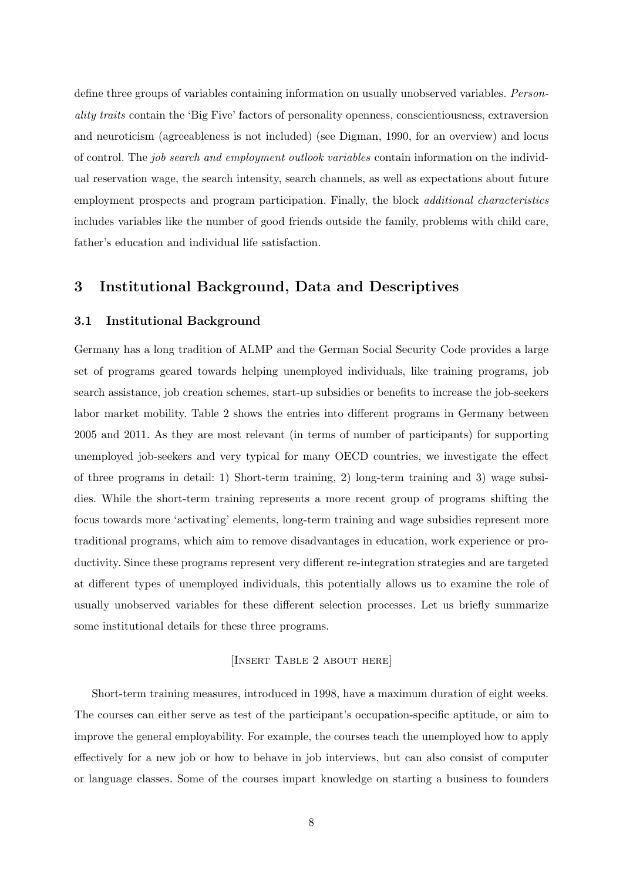define three groups of variables containing information on usually unobserved variables. Personality traits contain the 'Big Five' factors of personality openness, conscientiousness, extraversion and neuroticism (agreeableness is not included) (see Digman, 1990, for an overview) and locus of control. The job search and employment outlook variables contain information on the individual reservation wage, the search intensity, search channels, as well as expectations about future employment prospects and program participation. Finally, the block additional characteristics includes variables like the number of good friends outside the family, problems with child care, father's education and individual life satisfaction.

## 3 Institutional Background, Data and Descriptives

## 3.1 Institutional Background

Germany has a long tradition of ALMP and the German Social Security Code provides a large set of programs geared towards helping unemployed individuals, like training programs, job search assistance, job creation schemes, start-up subsidies or benefits to increase the job-seekers labor market mobility. Table 2 shows the entries into different programs in Germany between 2005 and 2011. As they are most relevant (in terms of number of participants) for supporting unemployed job-seekers and very typical for many OECD countries, we investigate the effect of three programs in detail: 1) Short-term training, 2) long-term training and 3) wage subsidies. While the short-term training represents a more recent group of programs shifting the focus towards more 'activating' elements, long-term training and wage subsidies represent more traditional programs, which aim to remove disadvantages in education, work experience or productivity. Since these programs represent very different re-integration strategies and are targeted at different types of unemployed individuals, this potentially allows us to examine the role of usually unobserved variables for these different selection processes. Let us briefly summarize some institutional details for these three programs.

## [Insert Table 2 about here]

Short-term training measures, introduced in 1998, have a maximum duration of eight weeks. The courses can either serve as test of the participant's occupation-specific aptitude, or aim to improve the general employability. For example, the courses teach the unemployed how to apply effectively for a new job or how to behave in job interviews, but can also consist of computer or language classes. Some of the courses impart knowledge on starting a business to founders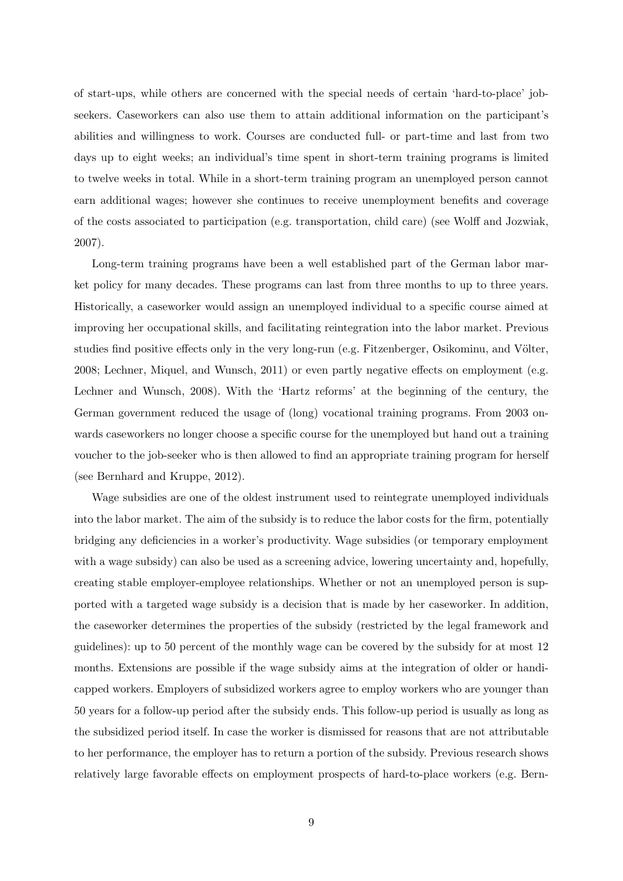of start-ups, while others are concerned with the special needs of certain 'hard-to-place' jobseekers. Caseworkers can also use them to attain additional information on the participant's abilities and willingness to work. Courses are conducted full- or part-time and last from two days up to eight weeks; an individual's time spent in short-term training programs is limited to twelve weeks in total. While in a short-term training program an unemployed person cannot earn additional wages; however she continues to receive unemployment benefits and coverage of the costs associated to participation (e.g. transportation, child care) (see Wolff and Jozwiak, 2007).

Long-term training programs have been a well established part of the German labor market policy for many decades. These programs can last from three months to up to three years. Historically, a caseworker would assign an unemployed individual to a specific course aimed at improving her occupational skills, and facilitating reintegration into the labor market. Previous studies find positive effects only in the very long-run (e.g. Fitzenberger, Osikominu, and Völter, 2008; Lechner, Miquel, and Wunsch, 2011) or even partly negative effects on employment (e.g. Lechner and Wunsch, 2008). With the 'Hartz reforms' at the beginning of the century, the German government reduced the usage of (long) vocational training programs. From 2003 onwards caseworkers no longer choose a specific course for the unemployed but hand out a training voucher to the job-seeker who is then allowed to find an appropriate training program for herself (see Bernhard and Kruppe, 2012).

Wage subsidies are one of the oldest instrument used to reintegrate unemployed individuals into the labor market. The aim of the subsidy is to reduce the labor costs for the firm, potentially bridging any deficiencies in a worker's productivity. Wage subsidies (or temporary employment with a wage subsidy) can also be used as a screening advice, lowering uncertainty and, hopefully, creating stable employer-employee relationships. Whether or not an unemployed person is supported with a targeted wage subsidy is a decision that is made by her caseworker. In addition, the caseworker determines the properties of the subsidy (restricted by the legal framework and guidelines): up to 50 percent of the monthly wage can be covered by the subsidy for at most 12 months. Extensions are possible if the wage subsidy aims at the integration of older or handicapped workers. Employers of subsidized workers agree to employ workers who are younger than 50 years for a follow-up period after the subsidy ends. This follow-up period is usually as long as the subsidized period itself. In case the worker is dismissed for reasons that are not attributable to her performance, the employer has to return a portion of the subsidy. Previous research shows relatively large favorable effects on employment prospects of hard-to-place workers (e.g. Bern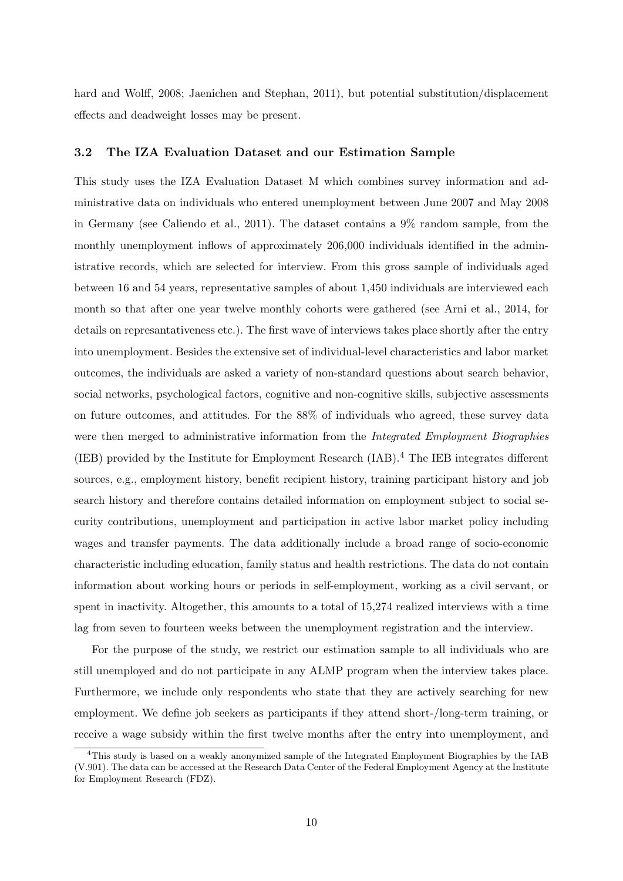hard and Wolff, 2008; Jaenichen and Stephan, 2011), but potential substitution/displacement effects and deadweight losses may be present.

#### 3.2 The IZA Evaluation Dataset and our Estimation Sample

This study uses the IZA Evaluation Dataset M which combines survey information and administrative data on individuals who entered unemployment between June 2007 and May 2008 in Germany (see Caliendo et al., 2011). The dataset contains a 9% random sample, from the monthly unemployment inflows of approximately 206,000 individuals identified in the administrative records, which are selected for interview. From this gross sample of individuals aged between 16 and 54 years, representative samples of about 1,450 individuals are interviewed each month so that after one year twelve monthly cohorts were gathered (see Arni et al., 2014, for details on represantativeness etc.). The first wave of interviews takes place shortly after the entry into unemployment. Besides the extensive set of individual-level characteristics and labor market outcomes, the individuals are asked a variety of non-standard questions about search behavior, social networks, psychological factors, cognitive and non-cognitive skills, subjective assessments on future outcomes, and attitudes. For the 88% of individuals who agreed, these survey data were then merged to administrative information from the *Integrated Employment Biographies* (IEB) provided by the Institute for Employment Research (IAB).<sup>4</sup> The IEB integrates different sources, e.g., employment history, benefit recipient history, training participant history and job search history and therefore contains detailed information on employment subject to social security contributions, unemployment and participation in active labor market policy including wages and transfer payments. The data additionally include a broad range of socio-economic characteristic including education, family status and health restrictions. The data do not contain information about working hours or periods in self-employment, working as a civil servant, or spent in inactivity. Altogether, this amounts to a total of 15,274 realized interviews with a time lag from seven to fourteen weeks between the unemployment registration and the interview.

For the purpose of the study, we restrict our estimation sample to all individuals who are still unemployed and do not participate in any ALMP program when the interview takes place. Furthermore, we include only respondents who state that they are actively searching for new employment. We define job seekers as participants if they attend short-/long-term training, or receive a wage subsidy within the first twelve months after the entry into unemployment, and

<sup>&</sup>lt;sup>4</sup>This study is based on a weakly anonymized sample of the Integrated Employment Biographies by the IAB (V.901). The data can be accessed at the Research Data Center of the Federal Employment Agency at the Institute for Employment Research (FDZ).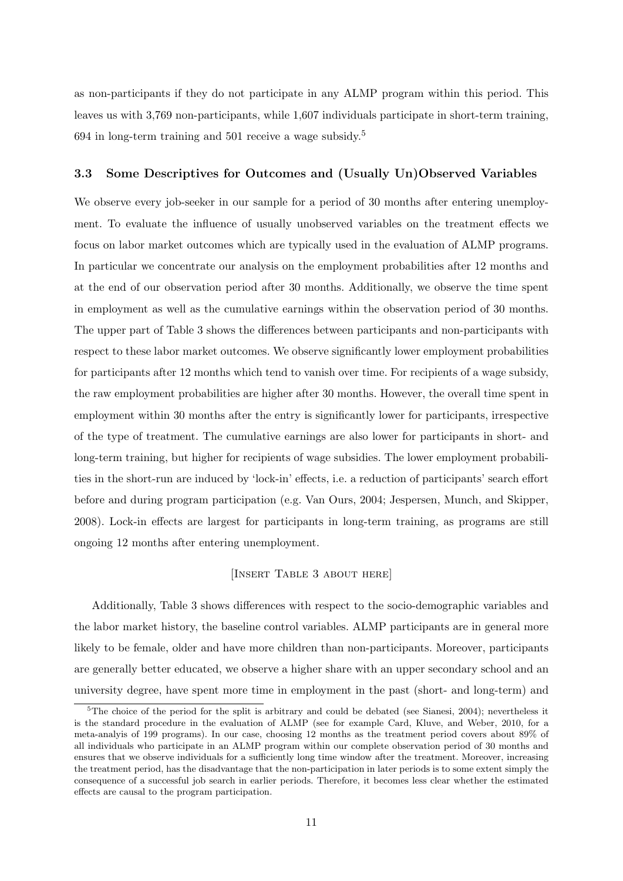as non-participants if they do not participate in any ALMP program within this period. This leaves us with 3,769 non-participants, while 1,607 individuals participate in short-term training, 694 in long-term training and 501 receive a wage subsidy.<sup>5</sup>

#### 3.3 Some Descriptives for Outcomes and (Usually Un)Observed Variables

We observe every job-seeker in our sample for a period of 30 months after entering unemployment. To evaluate the influence of usually unobserved variables on the treatment effects we focus on labor market outcomes which are typically used in the evaluation of ALMP programs. In particular we concentrate our analysis on the employment probabilities after 12 months and at the end of our observation period after 30 months. Additionally, we observe the time spent in employment as well as the cumulative earnings within the observation period of 30 months. The upper part of Table 3 shows the differences between participants and non-participants with respect to these labor market outcomes. We observe significantly lower employment probabilities for participants after 12 months which tend to vanish over time. For recipients of a wage subsidy, the raw employment probabilities are higher after 30 months. However, the overall time spent in employment within 30 months after the entry is significantly lower for participants, irrespective of the type of treatment. The cumulative earnings are also lower for participants in short- and long-term training, but higher for recipients of wage subsidies. The lower employment probabilities in the short-run are induced by 'lock-in' effects, i.e. a reduction of participants' search effort before and during program participation (e.g. Van Ours, 2004; Jespersen, Munch, and Skipper, 2008). Lock-in effects are largest for participants in long-term training, as programs are still ongoing 12 months after entering unemployment.

#### [Insert Table 3 about here]

Additionally, Table 3 shows differences with respect to the socio-demographic variables and the labor market history, the baseline control variables. ALMP participants are in general more likely to be female, older and have more children than non-participants. Moreover, participants are generally better educated, we observe a higher share with an upper secondary school and an university degree, have spent more time in employment in the past (short- and long-term) and

<sup>&</sup>lt;sup>5</sup>The choice of the period for the split is arbitrary and could be debated (see Sianesi, 2004); nevertheless it is the standard procedure in the evaluation of ALMP (see for example Card, Kluve, and Weber, 2010, for a meta-analyis of 199 programs). In our case, choosing 12 months as the treatment period covers about 89% of all individuals who participate in an ALMP program within our complete observation period of 30 months and ensures that we observe individuals for a sufficiently long time window after the treatment. Moreover, increasing the treatment period, has the disadvantage that the non-participation in later periods is to some extent simply the consequence of a successful job search in earlier periods. Therefore, it becomes less clear whether the estimated effects are causal to the program participation.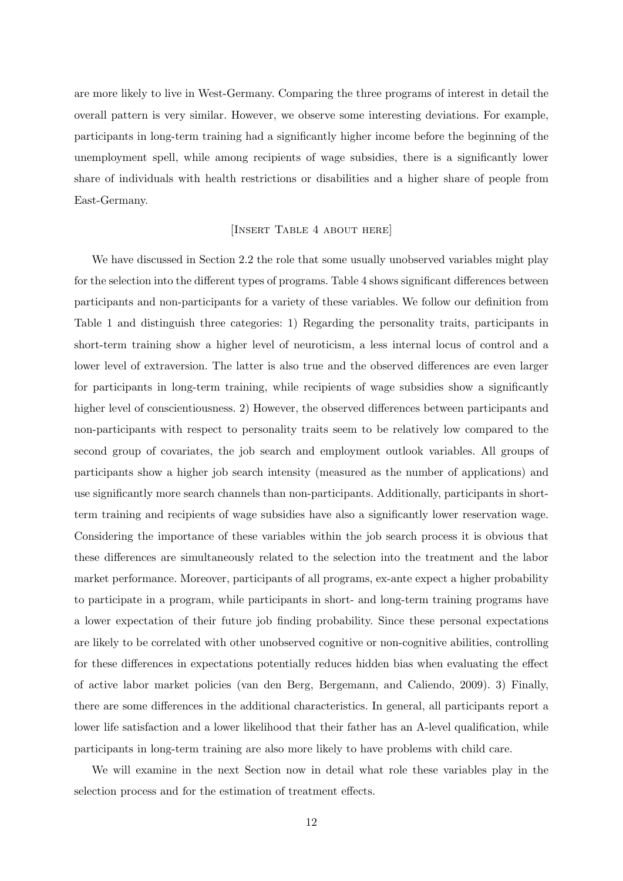are more likely to live in West-Germany. Comparing the three programs of interest in detail the overall pattern is very similar. However, we observe some interesting deviations. For example, participants in long-term training had a significantly higher income before the beginning of the unemployment spell, while among recipients of wage subsidies, there is a significantly lower share of individuals with health restrictions or disabilities and a higher share of people from East-Germany.

## [Insert Table 4 about here]

We have discussed in Section 2.2 the role that some usually unobserved variables might play for the selection into the different types of programs. Table 4 shows significant differences between participants and non-participants for a variety of these variables. We follow our definition from Table 1 and distinguish three categories: 1) Regarding the personality traits, participants in short-term training show a higher level of neuroticism, a less internal locus of control and a lower level of extraversion. The latter is also true and the observed differences are even larger for participants in long-term training, while recipients of wage subsidies show a significantly higher level of conscientiousness. 2) However, the observed differences between participants and non-participants with respect to personality traits seem to be relatively low compared to the second group of covariates, the job search and employment outlook variables. All groups of participants show a higher job search intensity (measured as the number of applications) and use significantly more search channels than non-participants. Additionally, participants in shortterm training and recipients of wage subsidies have also a significantly lower reservation wage. Considering the importance of these variables within the job search process it is obvious that these differences are simultaneously related to the selection into the treatment and the labor market performance. Moreover, participants of all programs, ex-ante expect a higher probability to participate in a program, while participants in short- and long-term training programs have a lower expectation of their future job finding probability. Since these personal expectations are likely to be correlated with other unobserved cognitive or non-cognitive abilities, controlling for these differences in expectations potentially reduces hidden bias when evaluating the effect of active labor market policies (van den Berg, Bergemann, and Caliendo, 2009). 3) Finally, there are some differences in the additional characteristics. In general, all participants report a lower life satisfaction and a lower likelihood that their father has an A-level qualification, while participants in long-term training are also more likely to have problems with child care.

We will examine in the next Section now in detail what role these variables play in the selection process and for the estimation of treatment effects.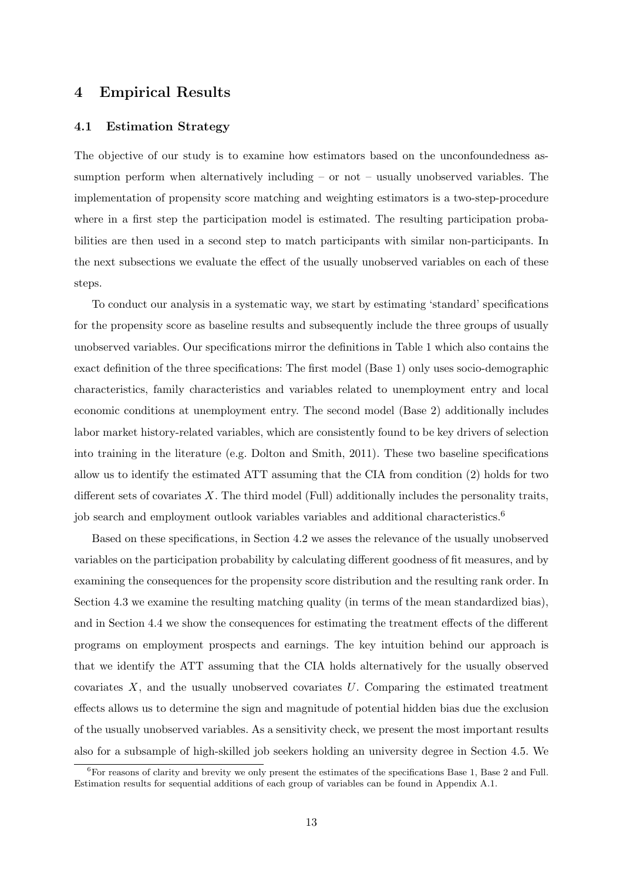## 4 Empirical Results

#### 4.1 Estimation Strategy

The objective of our study is to examine how estimators based on the unconfoundedness assumption perform when alternatively including – or not – usually unobserved variables. The implementation of propensity score matching and weighting estimators is a two-step-procedure where in a first step the participation model is estimated. The resulting participation probabilities are then used in a second step to match participants with similar non-participants. In the next subsections we evaluate the effect of the usually unobserved variables on each of these steps.

To conduct our analysis in a systematic way, we start by estimating 'standard' specifications for the propensity score as baseline results and subsequently include the three groups of usually unobserved variables. Our specifications mirror the definitions in Table 1 which also contains the exact definition of the three specifications: The first model (Base 1) only uses socio-demographic characteristics, family characteristics and variables related to unemployment entry and local economic conditions at unemployment entry. The second model (Base 2) additionally includes labor market history-related variables, which are consistently found to be key drivers of selection into training in the literature (e.g. Dolton and Smith, 2011). These two baseline specifications allow us to identify the estimated ATT assuming that the CIA from condition (2) holds for two different sets of covariates  $X$ . The third model (Full) additionally includes the personality traits, job search and employment outlook variables variables and additional characteristics.<sup>6</sup>

Based on these specifications, in Section 4.2 we asses the relevance of the usually unobserved variables on the participation probability by calculating different goodness of fit measures, and by examining the consequences for the propensity score distribution and the resulting rank order. In Section 4.3 we examine the resulting matching quality (in terms of the mean standardized bias), and in Section 4.4 we show the consequences for estimating the treatment effects of the different programs on employment prospects and earnings. The key intuition behind our approach is that we identify the ATT assuming that the CIA holds alternatively for the usually observed covariates  $X$ , and the usually unobserved covariates  $U$ . Comparing the estimated treatment effects allows us to determine the sign and magnitude of potential hidden bias due the exclusion of the usually unobserved variables. As a sensitivity check, we present the most important results also for a subsample of high-skilled job seekers holding an university degree in Section 4.5. We

 ${}^{6}$ For reasons of clarity and brevity we only present the estimates of the specifications Base 1, Base 2 and Full. Estimation results for sequential additions of each group of variables can be found in Appendix A.1.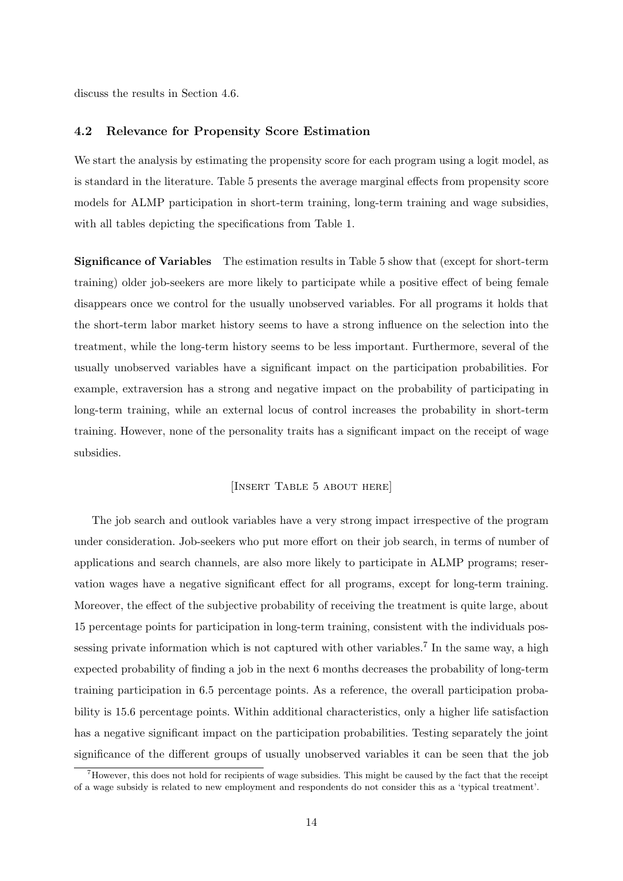discuss the results in Section 4.6.

## 4.2 Relevance for Propensity Score Estimation

We start the analysis by estimating the propensity score for each program using a logit model, as is standard in the literature. Table 5 presents the average marginal effects from propensity score models for ALMP participation in short-term training, long-term training and wage subsidies, with all tables depicting the specifications from Table 1.

Significance of Variables The estimation results in Table 5 show that (except for short-term training) older job-seekers are more likely to participate while a positive effect of being female disappears once we control for the usually unobserved variables. For all programs it holds that the short-term labor market history seems to have a strong influence on the selection into the treatment, while the long-term history seems to be less important. Furthermore, several of the usually unobserved variables have a significant impact on the participation probabilities. For example, extraversion has a strong and negative impact on the probability of participating in long-term training, while an external locus of control increases the probability in short-term training. However, none of the personality traits has a significant impact on the receipt of wage subsidies.

#### [Insert Table 5 about here]

The job search and outlook variables have a very strong impact irrespective of the program under consideration. Job-seekers who put more effort on their job search, in terms of number of applications and search channels, are also more likely to participate in ALMP programs; reservation wages have a negative significant effect for all programs, except for long-term training. Moreover, the effect of the subjective probability of receiving the treatment is quite large, about 15 percentage points for participation in long-term training, consistent with the individuals possessing private information which is not captured with other variables.<sup>7</sup> In the same way, a high expected probability of finding a job in the next 6 months decreases the probability of long-term training participation in 6.5 percentage points. As a reference, the overall participation probability is 15.6 percentage points. Within additional characteristics, only a higher life satisfaction has a negative significant impact on the participation probabilities. Testing separately the joint significance of the different groups of usually unobserved variables it can be seen that the job

 $^7$ However, this does not hold for recipients of wage subsidies. This might be caused by the fact that the receipt of a wage subsidy is related to new employment and respondents do not consider this as a 'typical treatment'.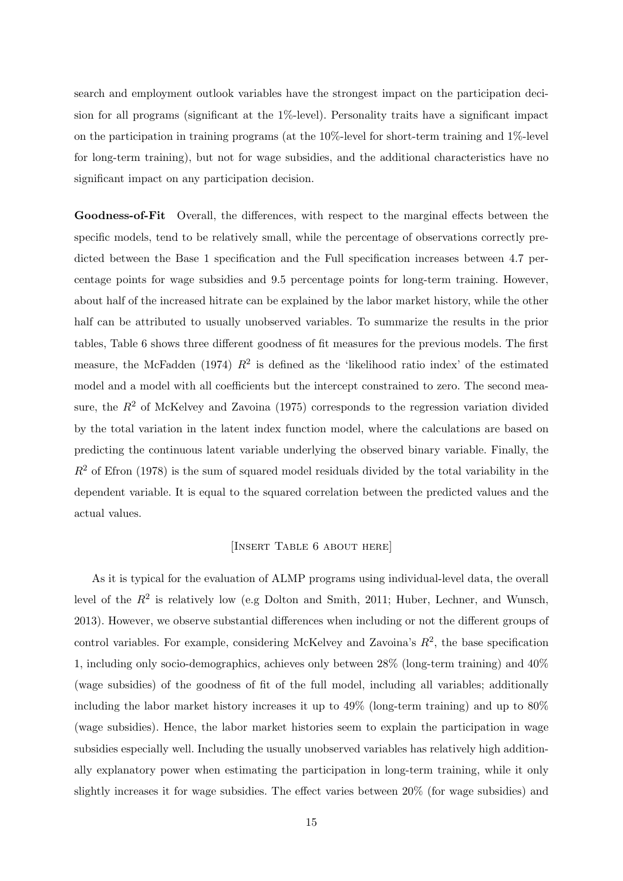search and employment outlook variables have the strongest impact on the participation decision for all programs (significant at the 1%-level). Personality traits have a significant impact on the participation in training programs (at the  $10\%$ -level for short-term training and  $1\%$ -level for long-term training), but not for wage subsidies, and the additional characteristics have no significant impact on any participation decision.

Goodness-of-Fit Overall, the differences, with respect to the marginal effects between the specific models, tend to be relatively small, while the percentage of observations correctly predicted between the Base 1 specification and the Full specification increases between 4.7 percentage points for wage subsidies and 9.5 percentage points for long-term training. However, about half of the increased hitrate can be explained by the labor market history, while the other half can be attributed to usually unobserved variables. To summarize the results in the prior tables, Table 6 shows three different goodness of fit measures for the previous models. The first measure, the McFadden (1974)  $R^2$  is defined as the 'likelihood ratio index' of the estimated model and a model with all coefficients but the intercept constrained to zero. The second measure, the  $R^2$  of McKelvey and Zavoina (1975) corresponds to the regression variation divided by the total variation in the latent index function model, where the calculations are based on predicting the continuous latent variable underlying the observed binary variable. Finally, the  $R<sup>2</sup>$  of Efron (1978) is the sum of squared model residuals divided by the total variability in the dependent variable. It is equal to the squared correlation between the predicted values and the actual values.

## [Insert Table 6 about here]

As it is typical for the evaluation of ALMP programs using individual-level data, the overall level of the  $R^2$  is relatively low (e.g Dolton and Smith, 2011; Huber, Lechner, and Wunsch, 2013). However, we observe substantial differences when including or not the different groups of control variables. For example, considering McKelvey and Zavoina's  $R^2$ , the base specification 1, including only socio-demographics, achieves only between 28% (long-term training) and 40% (wage subsidies) of the goodness of fit of the full model, including all variables; additionally including the labor market history increases it up to 49% (long-term training) and up to 80% (wage subsidies). Hence, the labor market histories seem to explain the participation in wage subsidies especially well. Including the usually unobserved variables has relatively high additionally explanatory power when estimating the participation in long-term training, while it only slightly increases it for wage subsidies. The effect varies between 20% (for wage subsidies) and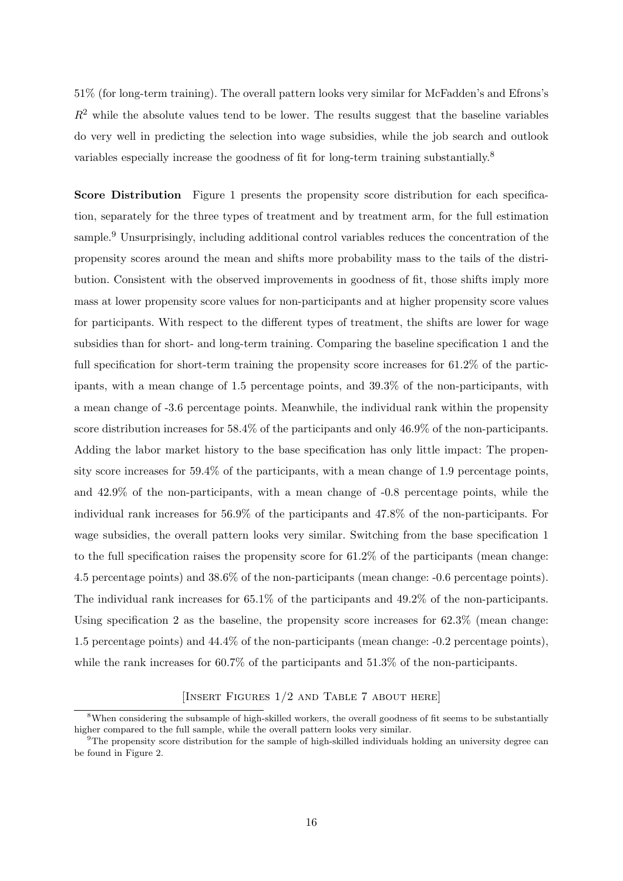51% (for long-term training). The overall pattern looks very similar for McFadden's and Efrons's  $R<sup>2</sup>$  while the absolute values tend to be lower. The results suggest that the baseline variables do very well in predicting the selection into wage subsidies, while the job search and outlook variables especially increase the goodness of fit for long-term training substantially.<sup>8</sup>

Score Distribution Figure 1 presents the propensity score distribution for each specification, separately for the three types of treatment and by treatment arm, for the full estimation sample.<sup>9</sup> Unsurprisingly, including additional control variables reduces the concentration of the propensity scores around the mean and shifts more probability mass to the tails of the distribution. Consistent with the observed improvements in goodness of fit, those shifts imply more mass at lower propensity score values for non-participants and at higher propensity score values for participants. With respect to the different types of treatment, the shifts are lower for wage subsidies than for short- and long-term training. Comparing the baseline specification 1 and the full specification for short-term training the propensity score increases for 61.2% of the participants, with a mean change of 1.5 percentage points, and 39.3% of the non-participants, with a mean change of -3.6 percentage points. Meanwhile, the individual rank within the propensity score distribution increases for 58.4% of the participants and only 46.9% of the non-participants. Adding the labor market history to the base specification has only little impact: The propensity score increases for 59.4% of the participants, with a mean change of 1.9 percentage points, and 42.9% of the non-participants, with a mean change of -0.8 percentage points, while the individual rank increases for 56.9% of the participants and 47.8% of the non-participants. For wage subsidies, the overall pattern looks very similar. Switching from the base specification 1 to the full specification raises the propensity score for 61.2% of the participants (mean change: 4.5 percentage points) and 38.6% of the non-participants (mean change: -0.6 percentage points). The individual rank increases for 65.1% of the participants and 49.2% of the non-participants. Using specification 2 as the baseline, the propensity score increases for 62.3% (mean change: 1.5 percentage points) and 44.4% of the non-participants (mean change: -0.2 percentage points), while the rank increases for 60.7% of the participants and 51.3% of the non-participants.

## [INSERT FIGURES  $1/2$  AND TABLE 7 ABOUT HERE]

<sup>&</sup>lt;sup>8</sup>When considering the subsample of high-skilled workers, the overall goodness of fit seems to be substantially higher compared to the full sample, while the overall pattern looks very similar.

 $9$ The propensity score distribution for the sample of high-skilled individuals holding an university degree can be found in Figure 2.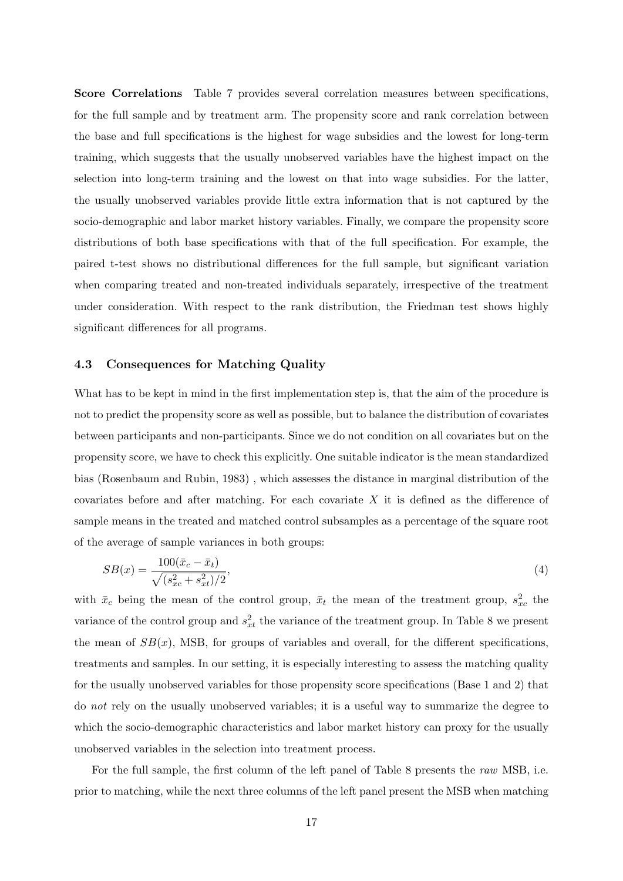Score Correlations Table 7 provides several correlation measures between specifications, for the full sample and by treatment arm. The propensity score and rank correlation between the base and full specifications is the highest for wage subsidies and the lowest for long-term training, which suggests that the usually unobserved variables have the highest impact on the selection into long-term training and the lowest on that into wage subsidies. For the latter, the usually unobserved variables provide little extra information that is not captured by the socio-demographic and labor market history variables. Finally, we compare the propensity score distributions of both base specifications with that of the full specification. For example, the paired t-test shows no distributional differences for the full sample, but significant variation when comparing treated and non-treated individuals separately, irrespective of the treatment under consideration. With respect to the rank distribution, the Friedman test shows highly significant differences for all programs.

## 4.3 Consequences for Matching Quality

What has to be kept in mind in the first implementation step is, that the aim of the procedure is not to predict the propensity score as well as possible, but to balance the distribution of covariates between participants and non-participants. Since we do not condition on all covariates but on the propensity score, we have to check this explicitly. One suitable indicator is the mean standardized bias (Rosenbaum and Rubin, 1983) , which assesses the distance in marginal distribution of the covariates before and after matching. For each covariate  $X$  it is defined as the difference of sample means in the treated and matched control subsamples as a percentage of the square root of the average of sample variances in both groups:

$$
SB(x) = \frac{100(\bar{x}_c - \bar{x}_t)}{\sqrt{(s_{xc}^2 + s_{xt}^2)/2}},\tag{4}
$$

with  $\bar{x}_c$  being the mean of the control group,  $\bar{x}_t$  the mean of the treatment group,  $s_{xc}^2$  the variance of the control group and  $s_{xt}^2$  the variance of the treatment group. In Table 8 we present the mean of  $SB(x)$ , MSB, for groups of variables and overall, for the different specifications, treatments and samples. In our setting, it is especially interesting to assess the matching quality for the usually unobserved variables for those propensity score specifications (Base 1 and 2) that do not rely on the usually unobserved variables; it is a useful way to summarize the degree to which the socio-demographic characteristics and labor market history can proxy for the usually unobserved variables in the selection into treatment process.

For the full sample, the first column of the left panel of Table 8 presents the raw MSB, i.e. prior to matching, while the next three columns of the left panel present the MSB when matching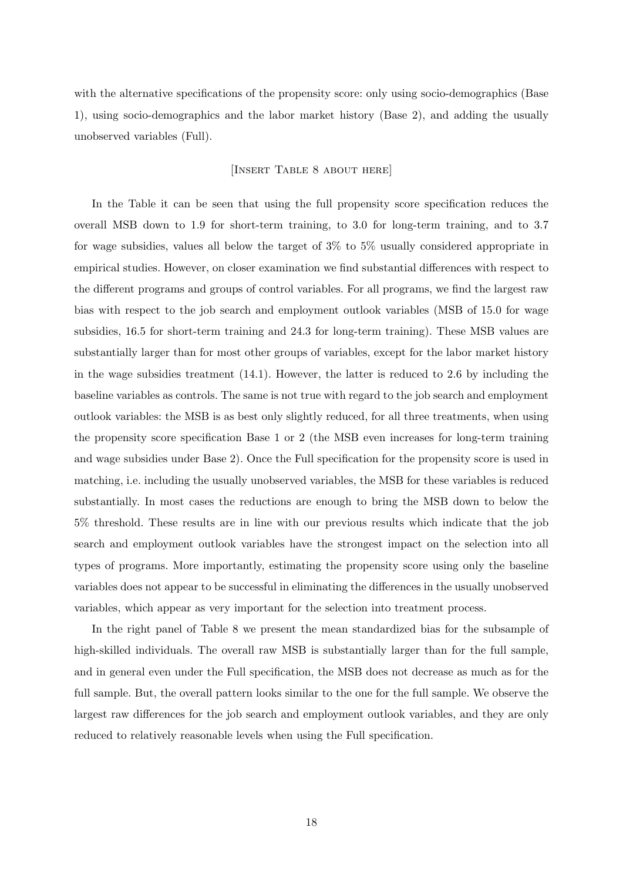with the alternative specifications of the propensity score: only using socio-demographics (Base 1), using socio-demographics and the labor market history (Base 2), and adding the usually unobserved variables (Full).

## [Insert Table 8 about here]

In the Table it can be seen that using the full propensity score specification reduces the overall MSB down to 1.9 for short-term training, to 3.0 for long-term training, and to 3.7 for wage subsidies, values all below the target of 3% to 5% usually considered appropriate in empirical studies. However, on closer examination we find substantial differences with respect to the different programs and groups of control variables. For all programs, we find the largest raw bias with respect to the job search and employment outlook variables (MSB of 15.0 for wage subsidies, 16.5 for short-term training and 24.3 for long-term training). These MSB values are substantially larger than for most other groups of variables, except for the labor market history in the wage subsidies treatment  $(14.1)$ . However, the latter is reduced to 2.6 by including the baseline variables as controls. The same is not true with regard to the job search and employment outlook variables: the MSB is as best only slightly reduced, for all three treatments, when using the propensity score specification Base 1 or 2 (the MSB even increases for long-term training and wage subsidies under Base 2). Once the Full specification for the propensity score is used in matching, i.e. including the usually unobserved variables, the MSB for these variables is reduced substantially. In most cases the reductions are enough to bring the MSB down to below the 5% threshold. These results are in line with our previous results which indicate that the job search and employment outlook variables have the strongest impact on the selection into all types of programs. More importantly, estimating the propensity score using only the baseline variables does not appear to be successful in eliminating the differences in the usually unobserved variables, which appear as very important for the selection into treatment process.

In the right panel of Table 8 we present the mean standardized bias for the subsample of high-skilled individuals. The overall raw MSB is substantially larger than for the full sample, and in general even under the Full specification, the MSB does not decrease as much as for the full sample. But, the overall pattern looks similar to the one for the full sample. We observe the largest raw differences for the job search and employment outlook variables, and they are only reduced to relatively reasonable levels when using the Full specification.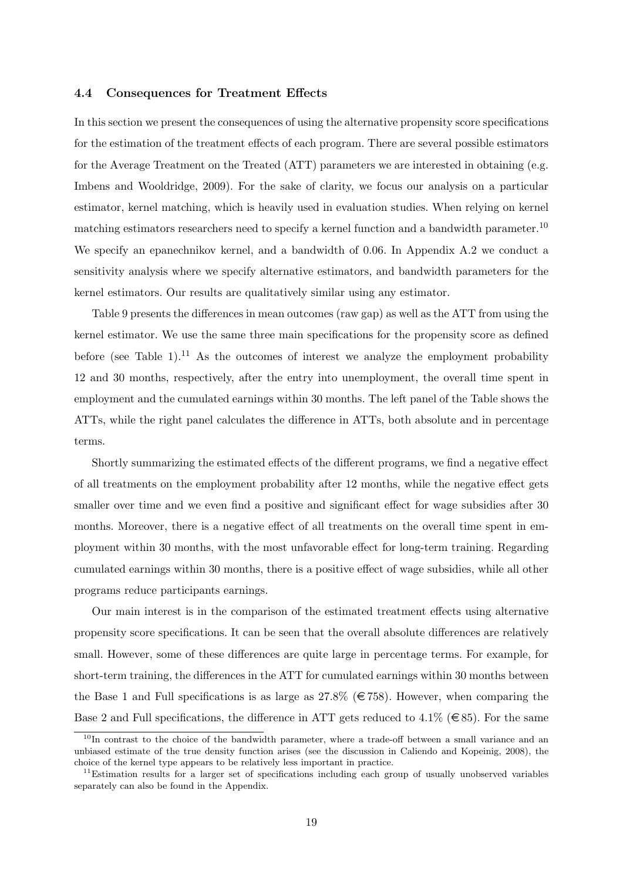#### 4.4 Consequences for Treatment Effects

In this section we present the consequences of using the alternative propensity score specifications for the estimation of the treatment effects of each program. There are several possible estimators for the Average Treatment on the Treated (ATT) parameters we are interested in obtaining (e.g. Imbens and Wooldridge, 2009). For the sake of clarity, we focus our analysis on a particular estimator, kernel matching, which is heavily used in evaluation studies. When relying on kernel matching estimators researchers need to specify a kernel function and a bandwidth parameter.<sup>10</sup> We specify an epanechnikov kernel, and a bandwidth of 0.06. In Appendix A.2 we conduct a sensitivity analysis where we specify alternative estimators, and bandwidth parameters for the kernel estimators. Our results are qualitatively similar using any estimator.

Table 9 presents the differences in mean outcomes (raw gap) as well as the ATT from using the kernel estimator. We use the same three main specifications for the propensity score as defined before (see Table 1).<sup>11</sup> As the outcomes of interest we analyze the employment probability 12 and 30 months, respectively, after the entry into unemployment, the overall time spent in employment and the cumulated earnings within 30 months. The left panel of the Table shows the ATTs, while the right panel calculates the difference in ATTs, both absolute and in percentage terms.

Shortly summarizing the estimated effects of the different programs, we find a negative effect of all treatments on the employment probability after 12 months, while the negative effect gets smaller over time and we even find a positive and significant effect for wage subsidies after 30 months. Moreover, there is a negative effect of all treatments on the overall time spent in employment within 30 months, with the most unfavorable effect for long-term training. Regarding cumulated earnings within 30 months, there is a positive effect of wage subsidies, while all other programs reduce participants earnings.

Our main interest is in the comparison of the estimated treatment effects using alternative propensity score specifications. It can be seen that the overall absolute differences are relatively small. However, some of these differences are quite large in percentage terms. For example, for short-term training, the differences in the ATT for cumulated earnings within 30 months between the Base 1 and Full specifications is as large as  $27.8\%$  ( $\in 758$ ). However, when comparing the Base 2 and Full specifications, the difference in ATT gets reduced to 4.1% ( $\in$ 85). For the same

<sup>&</sup>lt;sup>10</sup>In contrast to the choice of the bandwidth parameter, where a trade-off between a small variance and an unbiased estimate of the true density function arises (see the discussion in Caliendo and Kopeinig, 2008), the choice of the kernel type appears to be relatively less important in practice.

<sup>&</sup>lt;sup>11</sup>Estimation results for a larger set of specifications including each group of usually unobserved variables separately can also be found in the Appendix.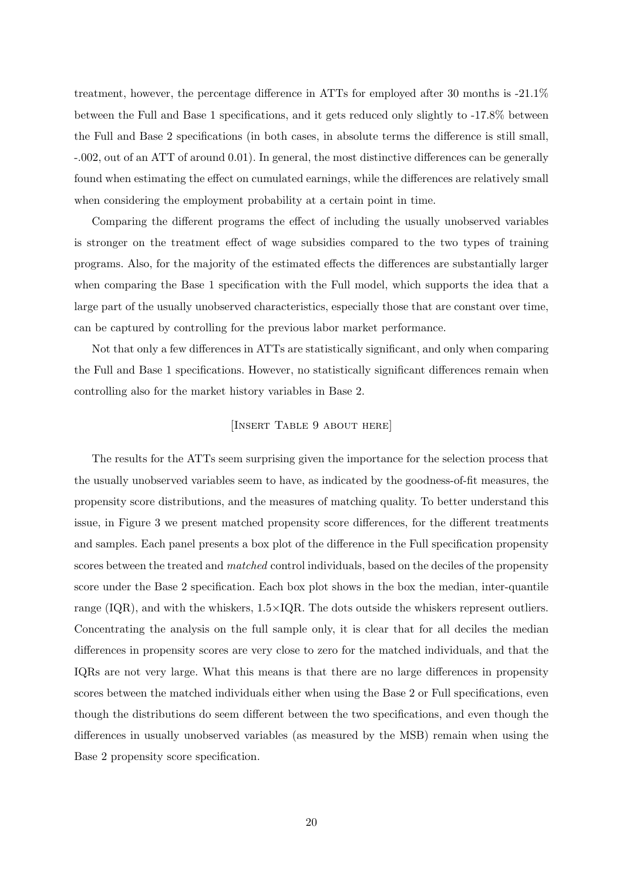treatment, however, the percentage difference in ATTs for employed after 30 months is -21.1% between the Full and Base 1 specifications, and it gets reduced only slightly to -17.8% between the Full and Base 2 specifications (in both cases, in absolute terms the difference is still small, -.002, out of an ATT of around 0.01). In general, the most distinctive differences can be generally found when estimating the effect on cumulated earnings, while the differences are relatively small when considering the employment probability at a certain point in time.

Comparing the different programs the effect of including the usually unobserved variables is stronger on the treatment effect of wage subsidies compared to the two types of training programs. Also, for the majority of the estimated effects the differences are substantially larger when comparing the Base 1 specification with the Full model, which supports the idea that a large part of the usually unobserved characteristics, especially those that are constant over time, can be captured by controlling for the previous labor market performance.

Not that only a few differences in ATTs are statistically significant, and only when comparing the Full and Base 1 specifications. However, no statistically significant differences remain when controlling also for the market history variables in Base 2.

## [Insert Table 9 about here]

The results for the ATTs seem surprising given the importance for the selection process that the usually unobserved variables seem to have, as indicated by the goodness-of-fit measures, the propensity score distributions, and the measures of matching quality. To better understand this issue, in Figure 3 we present matched propensity score differences, for the different treatments and samples. Each panel presents a box plot of the difference in the Full specification propensity scores between the treated and *matched* control individuals, based on the deciles of the propensity score under the Base 2 specification. Each box plot shows in the box the median, inter-quantile range  $(IQR)$ , and with the whiskers,  $1.5 \times IQR$ . The dots outside the whiskers represent outliers. Concentrating the analysis on the full sample only, it is clear that for all deciles the median differences in propensity scores are very close to zero for the matched individuals, and that the IQRs are not very large. What this means is that there are no large differences in propensity scores between the matched individuals either when using the Base 2 or Full specifications, even though the distributions do seem different between the two specifications, and even though the differences in usually unobserved variables (as measured by the MSB) remain when using the Base 2 propensity score specification.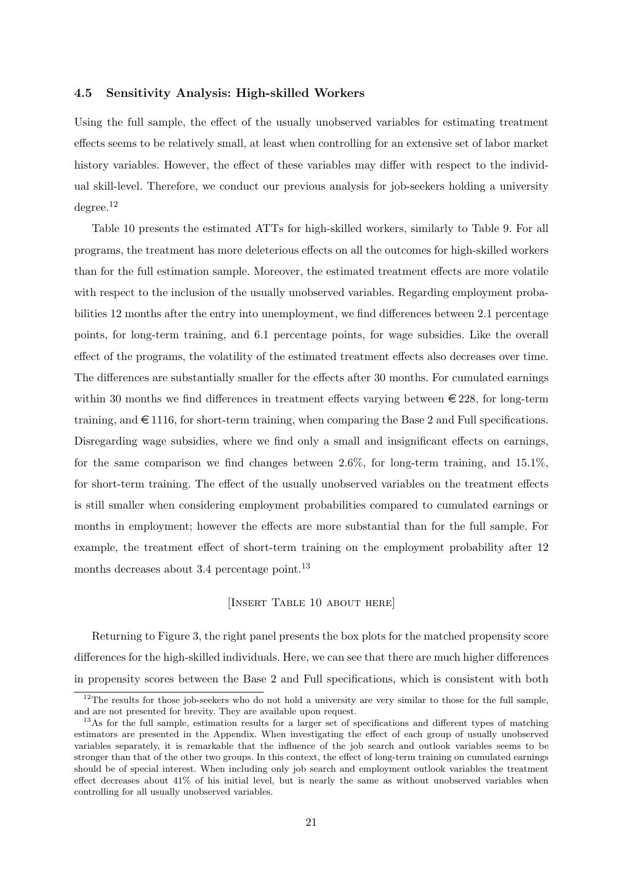#### 4.5 Sensitivity Analysis: High-skilled Workers

Using the full sample, the effect of the usually unobserved variables for estimating treatment effects seems to be relatively small, at least when controlling for an extensive set of labor market history variables. However, the effect of these variables may differ with respect to the individual skill-level. Therefore, we conduct our previous analysis for job-seekers holding a university degree.<sup>12</sup>

Table 10 presents the estimated ATTs for high-skilled workers, similarly to Table 9. For all programs, the treatment has more deleterious effects on all the outcomes for high-skilled workers than for the full estimation sample. Moreover, the estimated treatment effects are more volatile with respect to the inclusion of the usually unobserved variables. Regarding employment probabilities 12 months after the entry into unemployment, we find differences between 2.1 percentage points, for long-term training, and 6.1 percentage points, for wage subsidies. Like the overall effect of the programs, the volatility of the estimated treatment effects also decreases over time. The differences are substantially smaller for the effects after 30 months. For cumulated earnings within 30 months we find differences in treatment effects varying between  $\epsilon$  228, for long-term training, and  $\in$  1116, for short-term training, when comparing the Base 2 and Full specifications. Disregarding wage subsidies, where we find only a small and insignificant effects on earnings, for the same comparison we find changes between 2.6%, for long-term training, and 15.1%, for short-term training. The effect of the usually unobserved variables on the treatment effects is still smaller when considering employment probabilities compared to cumulated earnings or months in employment; however the effects are more substantial than for the full sample. For example, the treatment effect of short-term training on the employment probability after 12 months decreases about 3.4 percentage point.<sup>13</sup>

#### [INSERT TABLE 10 ABOUT HERE]

Returning to Figure 3, the right panel presents the box plots for the matched propensity score differences for the high-skilled individuals. Here, we can see that there are much higher differences in propensity scores between the Base 2 and Full specifications, which is consistent with both

 $12$ The results for those job-seekers who do not hold a university are very similar to those for the full sample, and are not presented for brevity. They are available upon request.

<sup>&</sup>lt;sup>13</sup>As for the full sample, estimation results for a larger set of specifications and different types of matching estimators are presented in the Appendix. When investigating the effect of each group of usually unobserved variables separately, it is remarkable that the influence of the job search and outlook variables seems to be stronger than that of the other two groups. In this context, the effect of long-term training on cumulated earnings should be of special interest. When including only job search and employment outlook variables the treatment effect decreases about 41% of his initial level, but is nearly the same as without unobserved variables when controlling for all usually unobserved variables.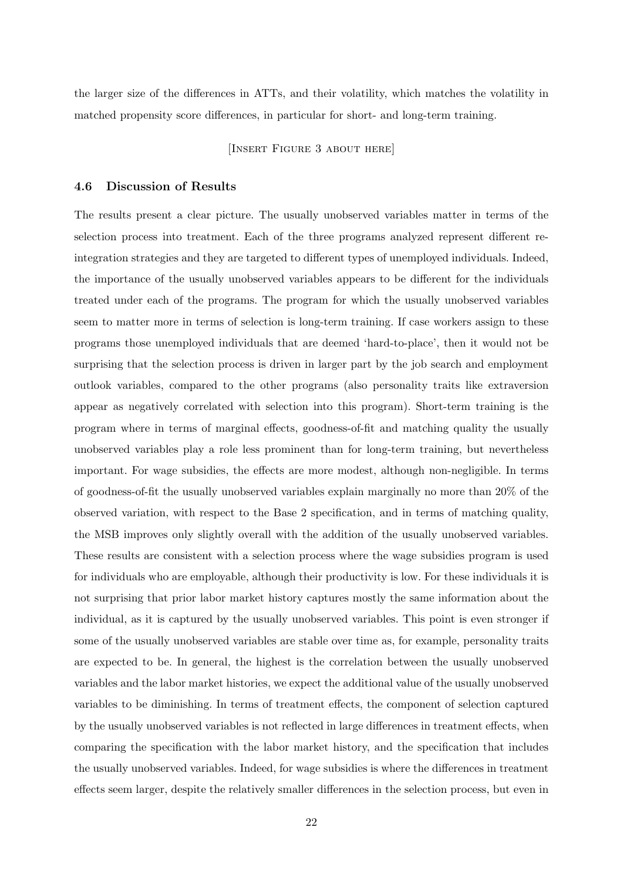the larger size of the differences in ATTs, and their volatility, which matches the volatility in matched propensity score differences, in particular for short- and long-term training.

[INSERT FIGURE 3 ABOUT HERE]

## 4.6 Discussion of Results

The results present a clear picture. The usually unobserved variables matter in terms of the selection process into treatment. Each of the three programs analyzed represent different reintegration strategies and they are targeted to different types of unemployed individuals. Indeed, the importance of the usually unobserved variables appears to be different for the individuals treated under each of the programs. The program for which the usually unobserved variables seem to matter more in terms of selection is long-term training. If case workers assign to these programs those unemployed individuals that are deemed 'hard-to-place', then it would not be surprising that the selection process is driven in larger part by the job search and employment outlook variables, compared to the other programs (also personality traits like extraversion appear as negatively correlated with selection into this program). Short-term training is the program where in terms of marginal effects, goodness-of-fit and matching quality the usually unobserved variables play a role less prominent than for long-term training, but nevertheless important. For wage subsidies, the effects are more modest, although non-negligible. In terms of goodness-of-fit the usually unobserved variables explain marginally no more than 20% of the observed variation, with respect to the Base 2 specification, and in terms of matching quality, the MSB improves only slightly overall with the addition of the usually unobserved variables. These results are consistent with a selection process where the wage subsidies program is used for individuals who are employable, although their productivity is low. For these individuals it is not surprising that prior labor market history captures mostly the same information about the individual, as it is captured by the usually unobserved variables. This point is even stronger if some of the usually unobserved variables are stable over time as, for example, personality traits are expected to be. In general, the highest is the correlation between the usually unobserved variables and the labor market histories, we expect the additional value of the usually unobserved variables to be diminishing. In terms of treatment effects, the component of selection captured by the usually unobserved variables is not reflected in large differences in treatment effects, when comparing the specification with the labor market history, and the specification that includes the usually unobserved variables. Indeed, for wage subsidies is where the differences in treatment effects seem larger, despite the relatively smaller differences in the selection process, but even in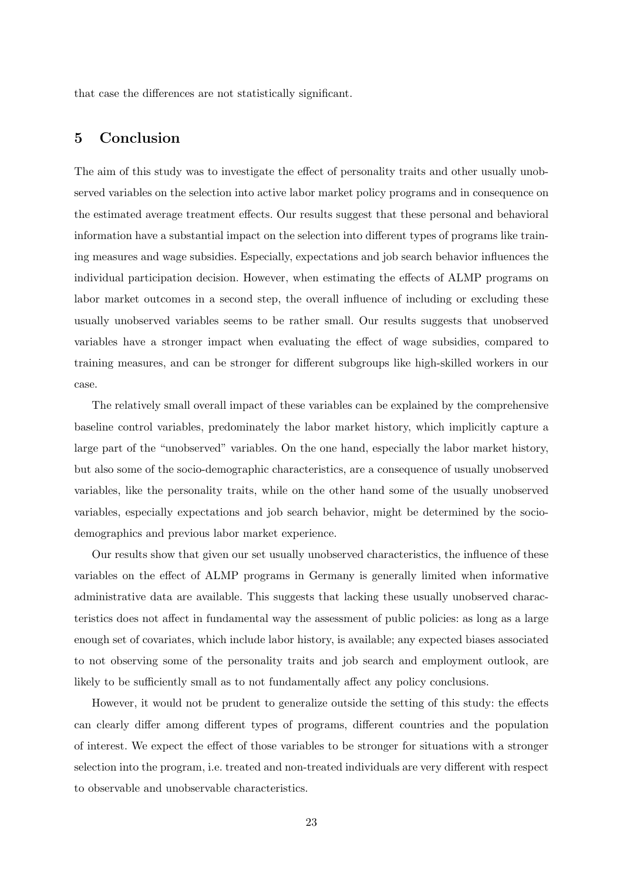that case the differences are not statistically significant.

## 5 Conclusion

The aim of this study was to investigate the effect of personality traits and other usually unobserved variables on the selection into active labor market policy programs and in consequence on the estimated average treatment effects. Our results suggest that these personal and behavioral information have a substantial impact on the selection into different types of programs like training measures and wage subsidies. Especially, expectations and job search behavior influences the individual participation decision. However, when estimating the effects of ALMP programs on labor market outcomes in a second step, the overall influence of including or excluding these usually unobserved variables seems to be rather small. Our results suggests that unobserved variables have a stronger impact when evaluating the effect of wage subsidies, compared to training measures, and can be stronger for different subgroups like high-skilled workers in our case.

The relatively small overall impact of these variables can be explained by the comprehensive baseline control variables, predominately the labor market history, which implicitly capture a large part of the "unobserved" variables. On the one hand, especially the labor market history, but also some of the socio-demographic characteristics, are a consequence of usually unobserved variables, like the personality traits, while on the other hand some of the usually unobserved variables, especially expectations and job search behavior, might be determined by the sociodemographics and previous labor market experience.

Our results show that given our set usually unobserved characteristics, the influence of these variables on the effect of ALMP programs in Germany is generally limited when informative administrative data are available. This suggests that lacking these usually unobserved characteristics does not affect in fundamental way the assessment of public policies: as long as a large enough set of covariates, which include labor history, is available; any expected biases associated to not observing some of the personality traits and job search and employment outlook, are likely to be sufficiently small as to not fundamentally affect any policy conclusions.

However, it would not be prudent to generalize outside the setting of this study: the effects can clearly differ among different types of programs, different countries and the population of interest. We expect the effect of those variables to be stronger for situations with a stronger selection into the program, i.e. treated and non-treated individuals are very different with respect to observable and unobservable characteristics.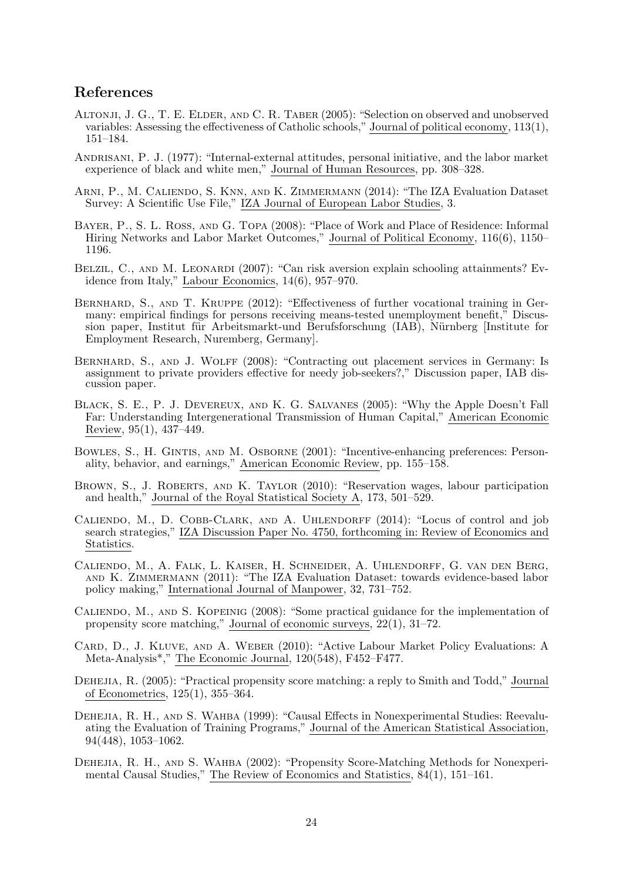## References

- Altonji, J. G., T. E. Elder, and C. R. Taber (2005): "Selection on observed and unobserved variables: Assessing the effectiveness of Catholic schools," Journal of political economy, 113(1), 151–184.
- Andrisani, P. J. (1977): "Internal-external attitudes, personal initiative, and the labor market experience of black and white men," Journal of Human Resources, pp. 308–328.
- Arni, P., M. Caliendo, S. Knn, and K. Zimmermann (2014): "The IZA Evaluation Dataset Survey: A Scientific Use File," IZA Journal of European Labor Studies, 3.
- Bayer, P., S. L. Ross, and G. Topa (2008): "Place of Work and Place of Residence: Informal Hiring Networks and Labor Market Outcomes," Journal of Political Economy, 116(6), 1150– 1196.
- BELZIL, C., AND M. LEONARDI (2007): "Can risk aversion explain schooling attainments? Evidence from Italy," Labour Economics, 14(6), 957–970.
- BERNHARD, S., AND T. KRUPPE (2012): "Effectiveness of further vocational training in Germany: empirical findings for persons receiving means-tested unemployment benefit," Discussion paper, Institut für Arbeitsmarkt-und Berufsforschung (IAB), Nürnberg [Institute for Employment Research, Nuremberg, Germany].
- BERNHARD, S., AND J. WOLFF (2008): "Contracting out placement services in Germany: Is assignment to private providers effective for needy job-seekers?," Discussion paper, IAB discussion paper.
- Black, S. E., P. J. Devereux, and K. G. Salvanes (2005): "Why the Apple Doesn't Fall Far: Understanding Intergenerational Transmission of Human Capital," American Economic Review, 95(1), 437–449.
- Bowles, S., H. Gintis, and M. Osborne (2001): "Incentive-enhancing preferences: Personality, behavior, and earnings," American Economic Review, pp. 155–158.
- BROWN, S., J. ROBERTS, AND K. TAYLOR (2010): "Reservation wages, labour participation and health," Journal of the Royal Statistical Society A, 173, 501–529.
- CALIENDO, M., D. COBB-CLARK, AND A. UHLENDORFF (2014): "Locus of control and job search strategies," IZA Discussion Paper No. 4750, forthcoming in: Review of Economics and Statistics.
- Caliendo, M., A. Falk, L. Kaiser, H. Schneider, A. Uhlendorff, G. van den Berg, and K. Zimmermann (2011): "The IZA Evaluation Dataset: towards evidence-based labor policy making," International Journal of Manpower, 32, 731–752.
- CALIENDO, M., AND S. KOPEINIG (2008): "Some practical guidance for the implementation of propensity score matching," Journal of economic surveys, 22(1), 31–72.
- CARD, D., J. KLUVE, AND A. WEBER (2010): "Active Labour Market Policy Evaluations: A Meta-Analysis\*," The Economic Journal, 120(548), F452–F477.
- DEHEJIA, R. (2005): "Practical propensity score matching: a reply to Smith and Todd," Journal of Econometrics, 125(1), 355–364.
- Dehejia, R. H., and S. Wahba (1999): "Causal Effects in Nonexperimental Studies: Reevaluating the Evaluation of Training Programs," Journal of the American Statistical Association, 94(448), 1053–1062.
- DEHEJIA, R. H., AND S. WAHBA (2002): "Propensity Score-Matching Methods for Nonexperimental Causal Studies," The Review of Economics and Statistics, 84(1), 151–161.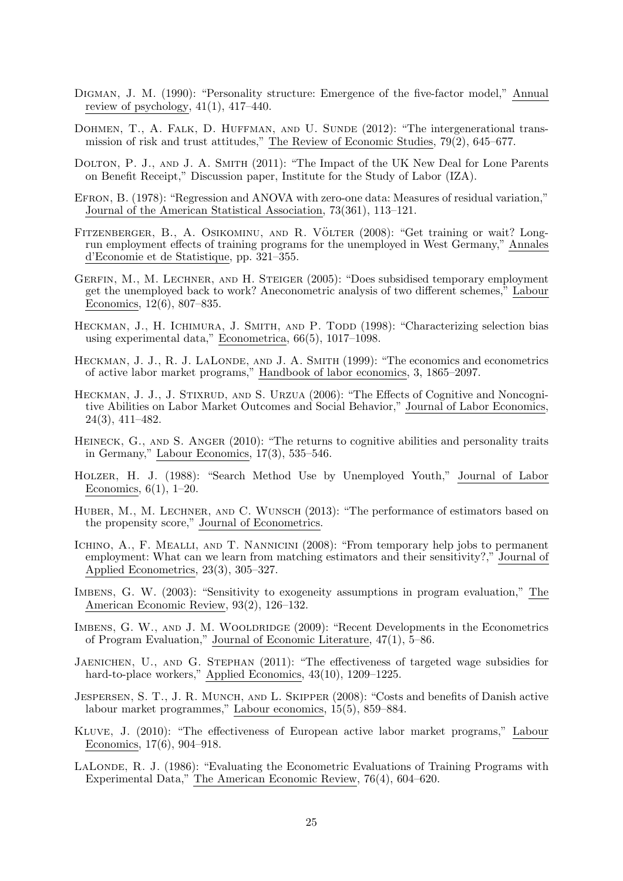- Digman, J. M. (1990): "Personality structure: Emergence of the five-factor model," Annual review of psychology,  $41(1)$ ,  $417-440$ .
- DOHMEN, T., A. FALK, D. HUFFMAN, AND U. SUNDE (2012): "The intergenerational transmission of risk and trust attitudes," The Review of Economic Studies, 79(2), 645–677.
- DOLTON, P. J., AND J. A. SMITH (2011): "The Impact of the UK New Deal for Lone Parents on Benefit Receipt," Discussion paper, Institute for the Study of Labor (IZA).
- Efron, B. (1978): "Regression and ANOVA with zero-one data: Measures of residual variation," Journal of the American Statistical Association, 73(361), 113–121.
- FITZENBERGER, B., A. OSIKOMINU, AND R. VÖLTER (2008): "Get training or wait? Longrun employment effects of training programs for the unemployed in West Germany," Annales d'Economie et de Statistique, pp. 321–355.
- Gerfin, M., M. Lechner, and H. Steiger (2005): "Does subsidised temporary employment get the unemployed back to work? Aneconometric analysis of two different schemes," Labour Economics, 12(6), 807–835.
- HECKMAN, J., H. ICHIMURA, J. SMITH, AND P. TODD (1998): "Characterizing selection bias using experimental data," Econometrica, 66(5), 1017–1098.
- HECKMAN, J. J., R. J. LALONDE, AND J. A. SMITH (1999): "The economics and econometrics of active labor market programs," Handbook of labor economics, 3, 1865–2097.
- HECKMAN, J. J., J. STIXRUD, AND S. URZUA (2006): "The Effects of Cognitive and Noncognitive Abilities on Labor Market Outcomes and Social Behavior," Journal of Labor Economics, 24(3), 411–482.
- HEINECK, G., AND S. ANGER (2010): "The returns to cognitive abilities and personality traits in Germany," Labour Economics, 17(3), 535–546.
- Holzer, H. J. (1988): "Search Method Use by Unemployed Youth," Journal of Labor Economics, 6(1), 1–20.
- HUBER, M., M. LECHNER, AND C. WUNSCH (2013): "The performance of estimators based on the propensity score," Journal of Econometrics.
- ICHINO, A., F. MEALLI, AND T. NANNICINI (2008): "From temporary help jobs to permanent employment: What can we learn from matching estimators and their sensitivity?," Journal of Applied Econometrics, 23(3), 305–327.
- Imbens, G. W. (2003): "Sensitivity to exogeneity assumptions in program evaluation," The American Economic Review, 93(2), 126–132.
- IMBENS, G. W., AND J. M. WOOLDRIDGE (2009): "Recent Developments in the Econometrics of Program Evaluation," Journal of Economic Literature, 47(1), 5–86.
- Jaenichen, U., and G. Stephan (2011): "The effectiveness of targeted wage subsidies for hard-to-place workers," Applied Economics,  $43(10)$ ,  $1209-1225$ .
- JESPERSEN, S. T., J. R. MUNCH, AND L. SKIPPER (2008): "Costs and benefits of Danish active labour market programmes," Labour economics, 15(5), 859–884.
- Kluve, J. (2010): "The effectiveness of European active labor market programs," Labour Economics, 17(6), 904–918.
- LALONDE, R. J. (1986): "Evaluating the Econometric Evaluations of Training Programs with Experimental Data," The American Economic Review, 76(4), 604–620.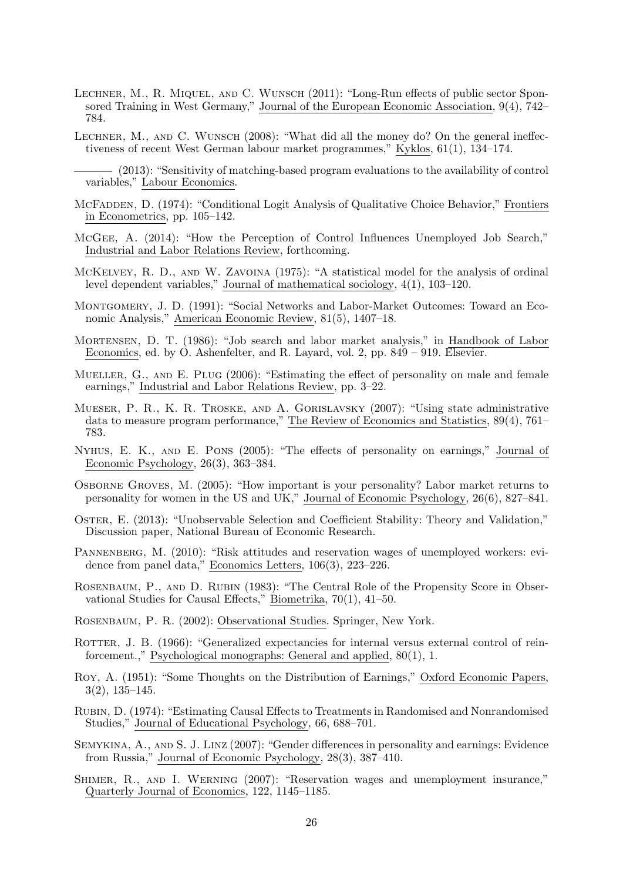- LECHNER, M., R. MIQUEL, AND C. WUNSCH (2011): "Long-Run effects of public sector Sponsored Training in West Germany," Journal of the European Economic Association, 9(4), 742– 784.
- LECHNER, M., AND C. WUNSCH  $(2008)$ : "What did all the money do? On the general ineffectiveness of recent West German labour market programmes," Kyklos, 61(1), 134–174.
- (2013): "Sensitivity of matching-based program evaluations to the availability of control variables," Labour Economics.
- MCFADDEN, D. (1974): "Conditional Logit Analysis of Qualitative Choice Behavior," Frontiers in Econometrics, pp. 105–142.
- McGee, A. (2014): "How the Perception of Control Influences Unemployed Job Search," Industrial and Labor Relations Review, forthcoming.
- McKelvey, R. D., and W. Zavoina (1975): "A statistical model for the analysis of ordinal level dependent variables," Journal of mathematical sociology, 4(1), 103–120.
- Montgomery, J. D. (1991): "Social Networks and Labor-Market Outcomes: Toward an Economic Analysis," American Economic Review, 81(5), 1407–18.
- Mortensen, D. T. (1986): "Job search and labor market analysis," in Handbook of Labor Economics, ed. by O. Ashenfelter, and R. Layard, vol. 2, pp. 849 – 919. Elsevier.
- MUELLER, G., AND E. PLUG (2006): "Estimating the effect of personality on male and female earnings," Industrial and Labor Relations Review, pp. 3–22.
- Mueser, P. R., K. R. Troske, and A. Gorislavsky (2007): "Using state administrative data to measure program performance," The Review of Economics and Statistics, 89(4), 761– 783.
- Nyhus, E. K., and E. Pons (2005): "The effects of personality on earnings," Journal of Economic Psychology, 26(3), 363–384.
- Osborne Groves, M. (2005): "How important is your personality? Labor market returns to personality for women in the US and UK," Journal of Economic Psychology, 26(6), 827–841.
- Oster, E. (2013): "Unobservable Selection and Coefficient Stability: Theory and Validation," Discussion paper, National Bureau of Economic Research.
- PANNENBERG, M. (2010): "Risk attitudes and reservation wages of unemployed workers: evidence from panel data," Economics Letters, 106(3), 223–226.
- ROSENBAUM, P., AND D. RUBIN (1983): "The Central Role of the Propensity Score in Observational Studies for Causal Effects," Biometrika, 70(1), 41–50.

Rosenbaum, P. R. (2002): Observational Studies. Springer, New York.

- ROTTER, J. B. (1966): "Generalized expectancies for internal versus external control of reinforcement.," Psychological monographs: General and applied, 80(1), 1.
- Roy, A. (1951): "Some Thoughts on the Distribution of Earnings," Oxford Economic Papers, 3(2), 135–145.
- Rubin, D. (1974): "Estimating Causal Effects to Treatments in Randomised and Nonrandomised Studies," Journal of Educational Psychology, 66, 688–701.
- Semykina, A., and S. J. Linz (2007): "Gender differences in personality and earnings: Evidence from Russia," Journal of Economic Psychology, 28(3), 387–410.
- Shimer, R., and I. Werning (2007): "Reservation wages and unemployment insurance," Quarterly Journal of Economics, 122, 1145–1185.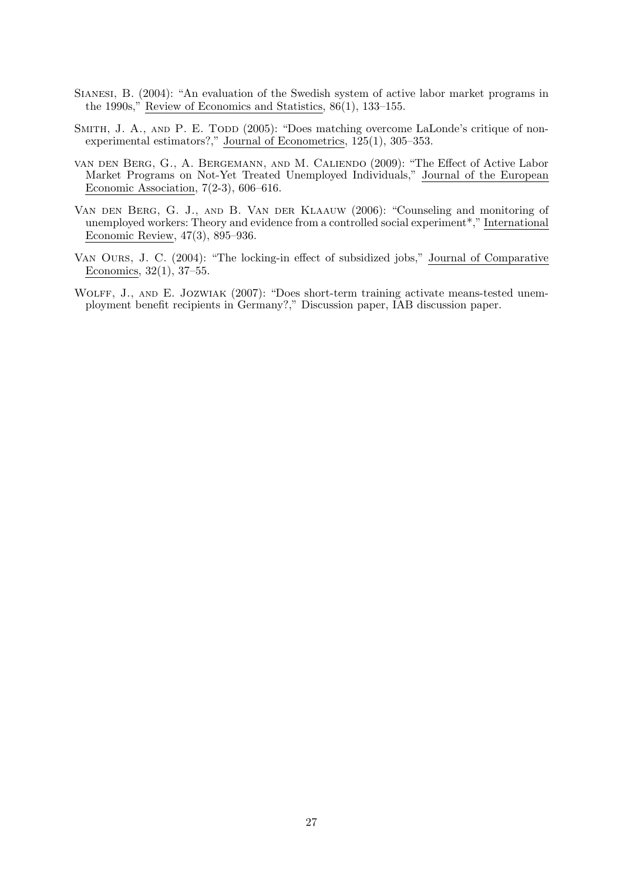- Sianesi, B. (2004): "An evaluation of the Swedish system of active labor market programs in the 1990s," Review of Economics and Statistics, 86(1), 133–155.
- SMITH, J. A., AND P. E. TODD (2005): "Does matching overcome LaLonde's critique of nonexperimental estimators?," Journal of Econometrics, 125(1), 305–353.
- van den Berg, G., A. Bergemann, and M. Caliendo (2009): "The Effect of Active Labor Market Programs on Not-Yet Treated Unemployed Individuals," Journal of the European Economic Association,  $7(2-3)$ , 606–616.
- Van den Berg, G. J., and B. Van der Klaauw (2006): "Counseling and monitoring of unemployed workers: Theory and evidence from a controlled social experiment\*," International Economic Review, 47(3), 895–936.
- Van Ours, J. C. (2004): "The locking-in effect of subsidized jobs," Journal of Comparative Economics, 32(1), 37–55.
- WOLFF, J., AND E. JOZWIAK (2007): "Does short-term training activate means-tested unemployment benefit recipients in Germany?," Discussion paper, IAB discussion paper.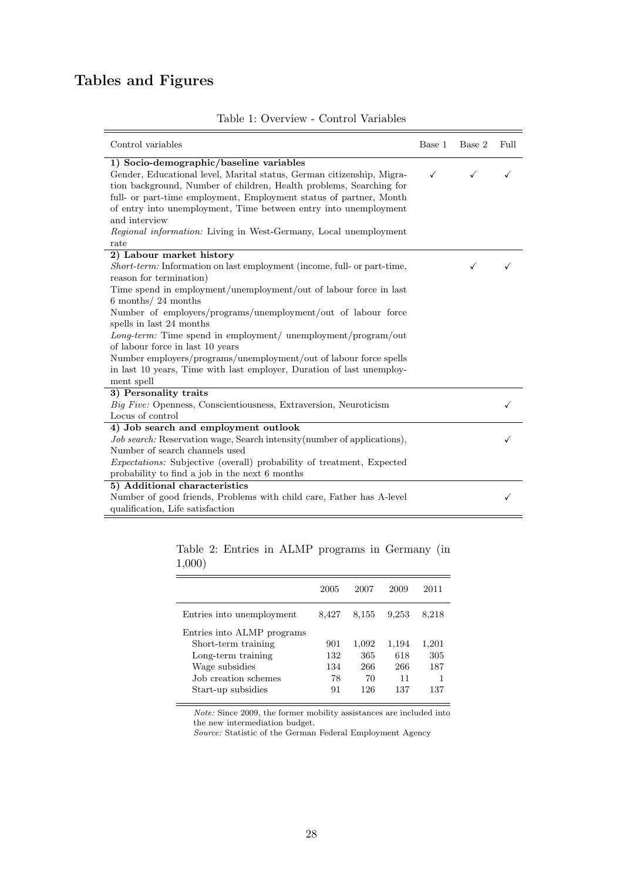## Tables and Figures

| Control variables                                                                                                                                                                                                                                                                                                                                                                                                                                                                                                                                                                          | Base 1 | Base 2 | Full |
|--------------------------------------------------------------------------------------------------------------------------------------------------------------------------------------------------------------------------------------------------------------------------------------------------------------------------------------------------------------------------------------------------------------------------------------------------------------------------------------------------------------------------------------------------------------------------------------------|--------|--------|------|
| 1) Socio-demographic/baseline variables<br>Gender, Educational level, Marital status, German citizenship, Migra-<br>tion background, Number of children, Health problems, Searching for<br>full- or part-time employment, Employment status of partner, Month<br>of entry into unemployment, Time between entry into unemployment<br>and interview<br>Regional information: Living in West-Germany, Local unemployment<br>rate                                                                                                                                                             | ✓      |        |      |
| 2) Labour market history<br>Short-term: Information on last employment (income, full- or part-time,<br>reason for termination)<br>Time spend in employment/unemployment/out of labour force in last<br>$6$ months/ 24 months<br>Number of employers/programs/unemployment/out of labour force<br>spells in last 24 months<br>Long-term: Time spend in employment/ unemployment/program/out<br>of labour force in last 10 years<br>Number employers/programs/unemployment/out of labour force spells<br>in last 10 years, Time with last employer, Duration of last unemploy-<br>ment spell |        |        |      |
| 3) Personality traits<br>Big Five: Openness, Conscientiousness, Extraversion, Neuroticism<br>Locus of control                                                                                                                                                                                                                                                                                                                                                                                                                                                                              |        |        |      |
| 4) Job search and employment outlook<br><i>Job search:</i> Reservation wage, Search intensity (number of applications),<br>Number of search channels used<br><i>Expectations:</i> Subjective (overall) probability of treatment, Expected<br>probability to find a job in the next 6 months                                                                                                                                                                                                                                                                                                |        |        |      |
| 5) Additional characteristics<br>Number of good friends, Problems with child care, Father has A-level<br>qualification, Life satisfaction                                                                                                                                                                                                                                                                                                                                                                                                                                                  |        |        |      |

## Table 1: Overview - Control Variables

Table 2: Entries in ALMP programs in Germany (in 1,000)

|                            | 2005  | 2007  | 2009  | 2011  |
|----------------------------|-------|-------|-------|-------|
| Entries into unemployment  | 8,427 | 8,155 | 9.253 | 8,218 |
| Entries into ALMP programs |       |       |       |       |
| Short-term training        | 901   | 1,092 | 1,194 | 1,201 |
| Long-term training         | 132   | 365   | 618   | 305   |
| Wage subsidies             | 134   | 266   | 266   | 187   |
| Job creation schemes       | 78    | 70    | 11    |       |
| Start-up subsidies         | 91    | 126   | 137   | 137   |
|                            |       |       |       |       |

Note: Since 2009, the former mobility assistances are included into the new intermediation budget.

Source: Statistic of the German Federal Employment Agency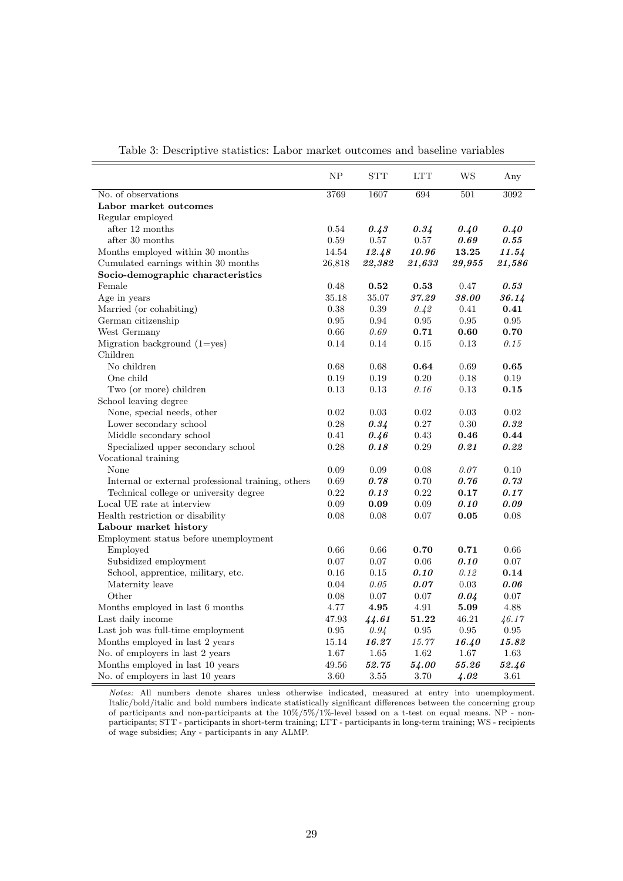|                                                    | NP         | <b>STT</b> | <b>LTT</b> | <b>WS</b> | Any        |
|----------------------------------------------------|------------|------------|------------|-----------|------------|
| No. of observations                                | 3769       | 1607       | 694        | 501       | 3092       |
| Labor market outcomes                              |            |            |            |           |            |
| Regular employed                                   |            |            |            |           |            |
| after 12 months                                    | 0.54       | 0.43       | 0.34       | 0.40      | 0.40       |
| after 30 months                                    | 0.59       | $0.57\,$   | 0.57       | 0.69      | 0.55       |
| Months employed within 30 months                   | 14.54      | 12.48      | 10.96      | 13.25     | 11.54      |
| Cumulated earnings within 30 months                | 26,818     | 22,382     | 21,633     | 29,955    | 21,586     |
| Socio-demographic characteristics                  |            |            |            |           |            |
| Female                                             | 0.48       | 0.52       | 0.53       | 0.47      | 0.53       |
| Age in years                                       | 35.18      | 35.07      | 37.29      | 38.00     | 36.14      |
| Married (or cohabiting)                            | 0.38       | 0.39       | 0.42       | 0.41      | 0.41       |
| German citizenship                                 | 0.95       | 0.94       | 0.95       | 0.95      | 0.95       |
| West Germany                                       | 0.66       | 0.69       | 0.71       | 0.60      | 0.70       |
| Migration background $(1 = yes)$                   | 0.14       | 0.14       | 0.15       | 0.13      | 0.15       |
| Children                                           |            |            |            |           |            |
| No children                                        | 0.68       | 0.68       | 0.64       | 0.69      | 0.65       |
| One child                                          | 0.19       | 0.19       | 0.20       | 0.18      | 0.19       |
| Two (or more) children                             | 0.13       | $0.13\,$   | 0.16       | 0.13      | 0.15       |
| School leaving degree                              |            |            |            |           |            |
| None, special needs, other                         | 0.02       | 0.03       | 0.02       | 0.03      | 0.02       |
| Lower secondary school                             | 0.28       | 0.34       | $0.27\,$   | $0.30\,$  | $0.32\,$   |
| Middle secondary school                            | 0.41       | 0.46       | 0.43       | 0.46      | 0.44       |
| Specialized upper secondary school                 | 0.28       | 0.18       | 0.29       | 0.21      | 0.22       |
| Vocational training                                |            |            |            |           |            |
| None                                               | 0.09       | 0.09       | 0.08       | 0.07      | 0.10       |
| Internal or external professional training, others | 0.69       | 0.78       | 0.70       | 0.76      | 0.73       |
| Technical college or university degree             | 0.22       | 0.13       | $\rm 0.22$ | 0.17      | 0.17       |
| Local UE rate at interview                         | $0.09\,$   | 0.09       | 0.09       | 0.10      | 0.09       |
| Health restriction or disability                   | 0.08       | 0.08       | 0.07       | 0.05      | 0.08       |
| Labour market history                              |            |            |            |           |            |
| Employment status before unemployment              |            |            |            |           |            |
| Employed                                           | 0.66       | 0.66       | 0.70       | 0.71      | 0.66       |
| Subsidized employment                              | 0.07       | 0.07       | 0.06       | 0.10      | 0.07       |
| School, apprentice, military, etc.                 | 0.16       | 0.15       | 0.10       | 0.12      | 0.14       |
| Maternity leave                                    | 0.04       | 0.05       | 0.07       | 0.03      | 0.06       |
| Other                                              | 0.08       | 0.07       | 0.07       | 0.04      | 0.07       |
| Months employed in last 6 months                   | 4.77       | 4.95       | 4.91       | 5.09      | 4.88       |
| Last daily income                                  | 47.93      | 44.61      | 51.22      | 46.21     | 46.17      |
| Last job was full-time employment                  | $\rm 0.95$ | 0.94       | $\rm 0.95$ | 0.95      | $\rm 0.95$ |
| Months employed in last 2 years                    | 15.14      | 16.27      | 15.77      | 16.40     | 15.82      |
| No. of employers in last 2 years                   | 1.67       | $1.65\,$   | 1.62       | 1.67      | 1.63       |
| Months employed in last 10 years                   | 49.56      | 52.75      | 54.00      | 55.26     | 52.46      |
| No. of employers in last 10 years                  | 3.60       | 3.55       | 3.70       | 4.02      | 3.61       |
|                                                    |            |            |            |           |            |

Table 3: Descriptive statistics: Labor market outcomes and baseline variables

Notes: All numbers denote shares unless otherwise indicated, measured at entry into unemployment. Italic/bold/italic and bold numbers indicate statistically significant differences between the concerning group of participants and non-participants at the 10%/5%/1%-level based on a t-test on equal means. NP - nonparticipants; STT - participants in short-term training; LTT - participants in long-term training; WS - recipients of wage subsidies; Any - participants in any ALMP.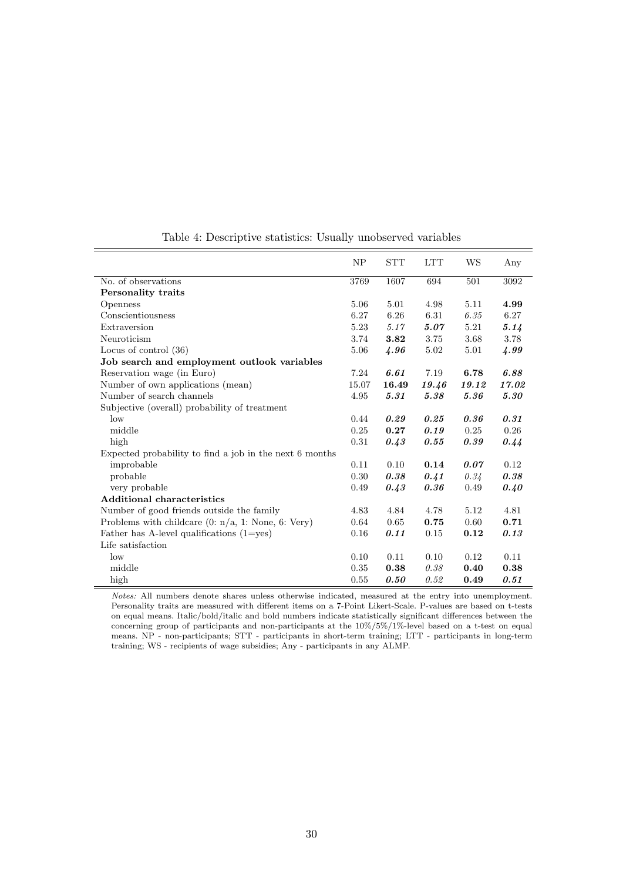|                                                         | NP    | <b>STT</b> | <b>LTT</b> | WS    | Any   |
|---------------------------------------------------------|-------|------------|------------|-------|-------|
| No. of observations                                     | 3769  | 1607       | 694        | 501   | 3092  |
| Personality traits                                      |       |            |            |       |       |
| Openness                                                | 5.06  | 5.01       | 4.98       | 5.11  | 4.99  |
| Conscientiousness                                       | 6.27  | 6.26       | 6.31       | 6.35  | 6.27  |
| Extraversion                                            | 5.23  | 5.17       | 5.07       | 5.21  | 5.14  |
| Neuroticism                                             | 3.74  | 3.82       | 3.75       | 3.68  | 3.78  |
| Locus of control $(36)$                                 | 5.06  | 4.96       | 5.02       | 5.01  | 4.99  |
| Job search and employment outlook variables             |       |            |            |       |       |
| Reservation wage (in Euro)                              | 7.24  | 6.61       | 7.19       | 6.78  | 6.88  |
| Number of own applications (mean)                       | 15.07 | 16.49      | 19.46      | 19.12 | 17.02 |
| Number of search channels                               | 4.95  | 5.31       | 5.38       | 5.36  | 5.30  |
| Subjective (overall) probability of treatment           |       |            |            |       |       |
| low                                                     | 0.44  | 0.29       | 0.25       | 0.36  | 0.31  |
| middle                                                  | 0.25  | 0.27       | 0.19       | 0.25  | 0.26  |
| high                                                    | 0.31  | 0.43       | 0.55       | 0.39  | 0.44  |
| Expected probability to find a job in the next 6 months |       |            |            |       |       |
| improbable                                              | 0.11  | 0.10       | 0.14       | 0.07  | 0.12  |
| probable                                                | 0.30  | 0.38       | 0.41       | 0.34  | 0.38  |
| very probable                                           | 0.49  | 0.43       | 0.36       | 0.49  | 0.40  |
| <b>Additional characteristics</b>                       |       |            |            |       |       |
| Number of good friends outside the family               | 4.83  | 4.84       | 4.78       | 5.12  | 4.81  |
| Problems with childcare $(0: n/a, 1: None, 6: Very)$    | 0.64  | 0.65       | 0.75       | 0.60  | 0.71  |
| Father has A-level qualifications $(1 = yes)$           | 0.16  | 0.11       | 0.15       | 0.12  | 0.13  |
| Life satisfaction                                       |       |            |            |       |       |
| low                                                     | 0.10  | 0.11       | 0.10       | 0.12  | 0.11  |
| middle                                                  | 0.35  | 0.38       | 0.38       | 0.40  | 0.38  |
| high                                                    | 0.55  | 0.50       | 0.52       | 0.49  | 0.51  |

Table 4: Descriptive statistics: Usually unobserved variables

Notes: All numbers denote shares unless otherwise indicated, measured at the entry into unemployment. Personality traits are measured with different items on a 7-Point Likert-Scale. P-values are based on t-tests on equal means. Italic/bold/italic and bold numbers indicate statistically significant differences between the concerning group of participants and non-participants at the 10%/5%/1%-level based on a t-test on equal means. NP - non-participants; STT - participants in short-term training; LTT - participants in long-term training; WS - recipients of wage subsidies; Any - participants in any ALMP.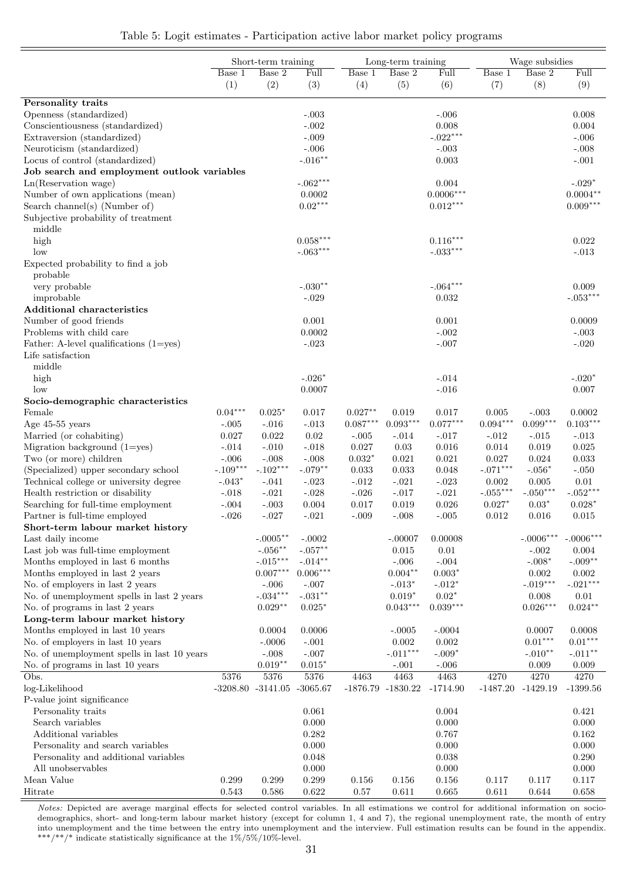|  | Table 5: Logit estimates - Participation active labor market policy programs |  |  |  |  |  |
|--|------------------------------------------------------------------------------|--|--|--|--|--|
|--|------------------------------------------------------------------------------|--|--|--|--|--|

|                                             | Short-term training |                       | Long-term training |            |                     |             | Wage subsidies      |                        |                        |
|---------------------------------------------|---------------------|-----------------------|--------------------|------------|---------------------|-------------|---------------------|------------------------|------------------------|
|                                             | Base 1              | Base 2                | Full               | Base 1     | Base 2              | Full        | Base 1              | Base 2                 | Full                   |
|                                             | (1)                 | (2)                   | (3)                | (4)        | (5)                 | (6)         | (7)                 | (8)                    | (9)                    |
| Personality traits                          |                     |                       |                    |            |                     |             |                     |                        |                        |
| Openness (standardized)                     |                     |                       | $-.003$            |            |                     | $-.006$     |                     |                        | 0.008                  |
| Conscientiousness (standardized)            |                     |                       | $-.002$            |            |                     | 0.008       |                     |                        | 0.004                  |
| Extraversion (standardized)                 |                     |                       | $-.009$            |            |                     | $-.022***$  |                     |                        | $-.006$                |
| Neuroticism (standardized)                  |                     |                       | $-.006$            |            |                     | $-.003$     |                     |                        | $-.008$                |
| Locus of control (standardized)             |                     |                       | $-.016**$          |            |                     | 0.003       |                     |                        | $-.001$                |
| Job search and employment outlook variables |                     |                       |                    |            |                     |             |                     |                        |                        |
| Ln(Reservation wage)                        |                     |                       | $-.062***$         |            |                     | 0.004       |                     |                        | $-.029*$               |
| Number of own applications (mean)           |                     |                       | 0.0002             |            |                     | $0.0006***$ |                     |                        | $0.0004***$            |
| Search channel(s) (Number of)               |                     |                       | $0.02***$          |            |                     | $0.012***$  |                     |                        | $0.009***$             |
| Subjective probability of treatment         |                     |                       |                    |            |                     |             |                     |                        |                        |
| middle                                      |                     |                       |                    |            |                     |             |                     |                        |                        |
| high                                        |                     |                       | $0.058***$         |            |                     | $0.116***$  |                     |                        | 0.022                  |
| low                                         |                     |                       | $-.063***$         |            |                     | $-.033***$  |                     |                        | $-.013$                |
| Expected probability to find a job          |                     |                       |                    |            |                     |             |                     |                        |                        |
| probable                                    |                     |                       |                    |            |                     |             |                     |                        |                        |
| very probable                               |                     |                       | $-.030**$          |            |                     | $-.064***$  |                     |                        | 0.009                  |
| improbable                                  |                     |                       | $-.029$            |            |                     | 0.032       |                     |                        | $-.053***$             |
| <b>Additional characteristics</b>           |                     |                       |                    |            |                     |             |                     |                        |                        |
| Number of good friends                      |                     |                       | 0.001              |            |                     | 0.001       |                     |                        | 0.0009                 |
| Problems with child care                    |                     |                       | 0.0002             |            |                     | $-.002$     |                     |                        | $-.003$                |
| Father: A-level qualifications $(1 = yes)$  |                     |                       | $-.023$            |            |                     | $-.007$     |                     |                        | $-.020$                |
| Life satisfaction                           |                     |                       |                    |            |                     |             |                     |                        |                        |
| middle                                      |                     |                       |                    |            |                     |             |                     |                        |                        |
| high                                        |                     |                       | $-.026*$           |            |                     | $-.014$     |                     |                        | $-.020*$               |
| low                                         |                     |                       | 0.0007             |            |                     | $-.016$     |                     |                        | 0.007                  |
| Socio-demographic characteristics<br>Female | $0.04***$           | $0.025*$              |                    | $0.027**$  |                     | 0.017       |                     |                        |                        |
| Age $45-55$ years                           | $-.005$             | $-.016$               | 0.017<br>$-.013$   | $0.087***$ | 0.019<br>$0.093***$ | $0.077***$  | 0.005<br>$0.094***$ | $-.003$<br>$0.099***$  | 0.0002<br>$0.103***$   |
| Married (or cohabiting)                     | 0.027               | 0.022                 | 0.02               | $-.005$    | $-.014$             | $-.017$     | $-.012$             | $-.015$                | $-.013$                |
| Migration background $(1 = yes)$            | $-.014$             | $-.010$               | $-.018$            | 0.027      | 0.03                | $0.016\,$   | 0.014               | 0.019                  | 0.025                  |
| Two (or more) children                      | $-.006$             | $-.008$               | $-.008$            | $0.032*$   | 0.021               | 0.021       | 0.027               | 0.024                  | 0.033                  |
| (Specialized) upper secondary school        | $-.109***$          | $-.102***$            | $-.079**$          | 0.033      | 0.033               | 0.048       | $-.071***$          | $-.056*$               | $-.050$                |
| Technical college or university degree      | $-.043*$            | $-.041$               | $-.023$            | $-.012$    | $-.021$             | $-.023$     | 0.002               | 0.005                  | 0.01                   |
| Health restriction or disability            | $-.018$             | $-.021$               | $-.028$            | $-.026$    | $-.017$             | $-.021$     | $-.055***$          | $-.050^{***}\,$        | $-.052***$             |
| Searching for full-time employment          | $-.004$             | $-.003$               | 0.004              | 0.017      | 0.019               | 0.026       | $0.027*$            | $0.03*$                | $0.028*$               |
| Partner is full-time employed               | $-.026$             | $-.027$               | $-.021$            | $-.009$    | $-.008$             | $-.005$     | 0.012               | 0.016                  | 0.015                  |
| Short-term labour market history            |                     |                       |                    |            |                     |             |                     |                        |                        |
| Last daily income                           |                     | $-.0005***$           | $-.0002$           |            | $-.00007$           | 0.00008     |                     | $-.0006***$            | $-.0006***$            |
| Last job was full-time employment           |                     | $-.056***$            | $-.057**$          |            | 0.015               | 0.01        |                     | $-.002$                | 0.004                  |
| Months employed in last 6 months            |                     | $-.015***$            | $-.014**$          |            | $-.006$             | $-.004$     |                     | $-.008*$               | $-.009**$              |
| Months employed in last 2 years             |                     | $0.007***$            | $0.006***$         |            | $0.004**$           | $0.003*$    |                     | 0.002                  | 0.002                  |
| No. of employers in last 2 years            |                     | $-.006$               | $-.007$            |            | $-.013*$            | $-.012*$    |                     | $-.019***$             | $-.021^{\ast\ast\ast}$ |
| No. of unemployment spells in last 2 years  |                     | $-.034***$            | $-.031**$          |            | $0.019*$            | $0.02*$     |                     | 0.008                  | 0.01                   |
| No. of programs in last 2 years             |                     | $0.029**$             | $0.025*$           |            | $0.043***$          | $0.039***$  |                     | $0.026^{\ast\ast\ast}$ | $0.024**$              |
| Long-term labour market history             |                     |                       |                    |            |                     |             |                     |                        |                        |
| Months employed in last 10 years            |                     | 0.0004                | 0.0006             |            | $-.0005$            | $-.0004$    |                     | 0.0007                 | 0.0008                 |
| No. of employers in last 10 years           |                     | $-.0006$              | $-.001$            |            | 0.002               | $0.002\,$   |                     | $0.01***$              | $0.01***$              |
| No. of unemployment spells in last 10 years |                     | $-.008$               | $-.007$            |            | $-.011***$          | $-.009*$    |                     | $-.010**$              | $-.011***$             |
| No. of programs in last 10 years            |                     | $0.019**$             | $0.015*$           |            | $-.001$             | $-.006$     |                     | 0.009                  | $0.009\,$              |
| Obs.                                        | 5376                | 5376                  | 5376               | 4463       | 4463                | 4463        | 4270                | 4270                   | 4270                   |
| log-Likelihood                              |                     | $-3208.80$ $-3141.05$ | $-3065.67$         |            | -1876.79 -1830.22   | $-1714.90$  |                     | $-1487.20$ $-1429.19$  | $-1399.56$             |
| P-value joint significance                  |                     |                       |                    |            |                     |             |                     |                        |                        |
| Personality traits                          |                     |                       | 0.061              |            |                     | 0.004       |                     |                        | 0.421                  |
| Search variables                            |                     |                       | 0.000              |            |                     | 0.000       |                     |                        | 0.000                  |
| Additional variables                        |                     |                       | 0.282              |            |                     | 0.767       |                     |                        | 0.162                  |
| Personality and search variables            |                     |                       | 0.000              |            |                     | 0.000       |                     |                        | 0.000                  |
| Personality and additional variables        |                     |                       | 0.048              |            |                     | 0.038       |                     |                        | 0.290                  |
| All unobservables                           |                     |                       | 0.000              |            |                     | 0.000       |                     |                        | 0.000                  |
| Mean Value                                  | 0.299               | 0.299                 | 0.299              | 0.156      | $0.156\,$           | 0.156       | 0.117               | 0.117                  | 0.117                  |
| Hitrate                                     | 0.543               | 0.586                 | 0.622              | 0.57       | 0.611               | 0.665       | 0.611               | 0.644                  | 0.658                  |

Notes: Depicted are average marginal effects for selected control variables. In all estimations we control for additional information on sociodemographics, short- and long-term labour market history (except for column 1, 4 and 7), the regional unemployment rate, the month of entry into unemployment and the time between the entry into unemployment and the interview. Full estimation results can be found in the appendix.  $^{***}/{^{**}}/$  indicate statistically significance at the  $1\%/5\%/10\%$  level.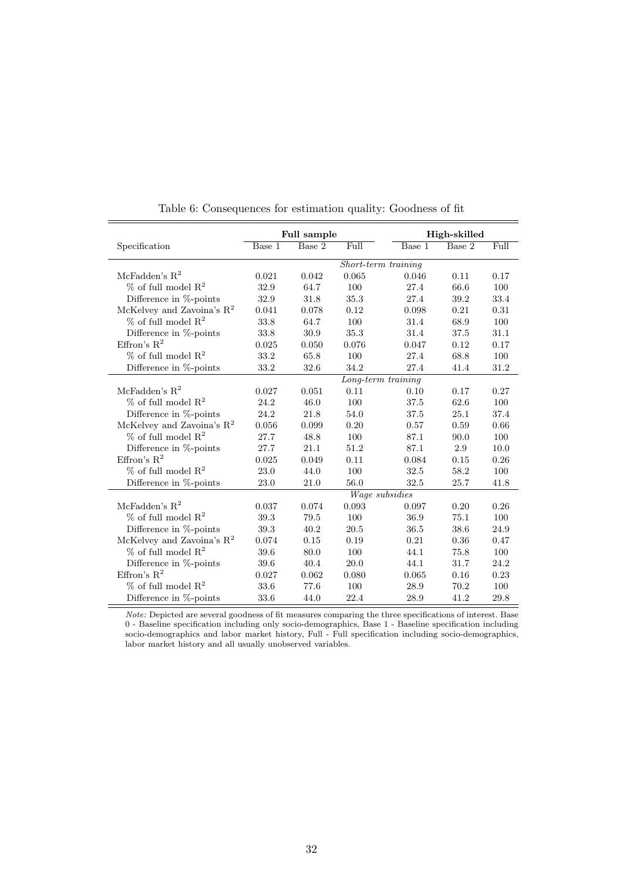|                                       |                       | Full sample |                     | High-skilled |        |      |  |  |
|---------------------------------------|-----------------------|-------------|---------------------|--------------|--------|------|--|--|
| Specification                         | Base 1                | Base 2      | Full                | Base 1       | Base 2 | Full |  |  |
|                                       |                       |             | Short-term training |              |        |      |  |  |
| McFadden's $R^2$                      | 0.021                 | 0.042       | 0.065               | 0.046        | 0.11   | 0.17 |  |  |
| $%$ of full model $R2$                | 32.9                  | 64.7        | 100                 | 27.4         | 66.6   | 100  |  |  |
| Difference in %-points                | 32.9                  | 31.8        | 35.3                | 27.4         | 39.2   | 33.4 |  |  |
| McKelvey and Zavoina's $\mathbb{R}^2$ | 0.041                 | 0.078       | 0.12                | 0.098        | 0.21   | 0.31 |  |  |
| $%$ of full model $R2$                | 33.8                  | 64.7        | 100                 | 31.4         | 68.9   | 100  |  |  |
| Difference in %-points                | 33.8                  | 30.9        | 35.3                | 31.4         | 37.5   | 31.1 |  |  |
| Effron's $R^2$                        | 0.025                 | 0.050       | 0.076               | 0.047        | 0.12   | 0.17 |  |  |
| $\%$ of full model $\mathbb{R}^2$     | 33.2                  | 65.8        | 100                 | 27.4         | 68.8   | 100  |  |  |
| Difference in %-points                | 33.2                  | 32.6        | 34.2                | 27.4         | 41.4   | 31.2 |  |  |
|                                       | $Long-term\ training$ |             |                     |              |        |      |  |  |
| McFadden's $R^2$                      | 0.027                 | 0.051       | 0.11                | 0.10         | 0.17   | 0.27 |  |  |
| $%$ of full model $R2$                | 24.2                  | 46.0        | 100                 | 37.5         | 62.6   | 100  |  |  |
| Difference in %-points                | 24.2                  | 21.8        | 54.0                | 37.5         | 25.1   | 37.4 |  |  |
| McKelvey and Zavoina's $R^2$          | 0.056                 | 0.099       | 0.20                | 0.57         | 0.59   | 0.66 |  |  |
| $%$ of full model $R2$                | 27.7                  | 48.8        | 100                 | 87.1         | 90.0   | 100  |  |  |
| Difference in %-points                | 27.7                  | 21.1        | 51.2                | 87.1         | 2.9    | 10.0 |  |  |
| Effron's $R^2$                        | 0.025                 | 0.049       | 0.11                | 0.084        | 0.15   | 0.26 |  |  |
| $%$ of full model $R2$                | 23.0                  | 44.0        | 100                 | 32.5         | 58.2   | 100  |  |  |
| Difference in %-points                | 23.0                  | 21.0        | 56.0                | 32.5         | 25.7   | 41.8 |  |  |
|                                       |                       |             | Wage subsidies      |              |        |      |  |  |
| McFadden's $\mathbf{R}^2$             | 0.037                 | 0.074       | 0.093               | 0.097        | 0.20   | 0.26 |  |  |
| $%$ of full model $R2$                | 39.3                  | 79.5        | 100                 | 36.9         | 75.1   | 100  |  |  |
| Difference in %-points                | 39.3                  | 40.2        | 20.5                | 36.5         | 38.6   | 24.9 |  |  |
| McKelvey and Zavoina's $\mathbb{R}^2$ | 0.074                 | 0.15        | 0.19                | 0.21         | 0.36   | 0.47 |  |  |
| $\%$ of full model $\mathbb{R}^2$     | 39.6                  | 80.0        | 100                 | 44.1         | 75.8   | 100  |  |  |
| Difference in %-points                | 39.6                  | 40.4        | 20.0                | 44.1         | 31.7   | 24.2 |  |  |
| Effron's $R^2$                        | 0.027                 | 0.062       | 0.080               | 0.065        | 0.16   | 0.23 |  |  |
| $\%$ of full model $\mathbb{R}^2$     | 33.6                  | 77.6        | 100                 | 28.9         | 70.2   | 100  |  |  |
| Difference in %-points                | 33.6                  | 44.0        | 22.4                | 28.9         | 41.2   | 29.8 |  |  |

Table 6: Consequences for estimation quality: Goodness of fit

Note: Depicted are several goodness of fit measures comparing the three specifications of interest. Base 0 - Baseline specification including only socio-demographics, Base 1 - Baseline specification including socio-demographics and labor market history, Full - Full specification including socio-demographics, labor market history and all usually unobserved variables.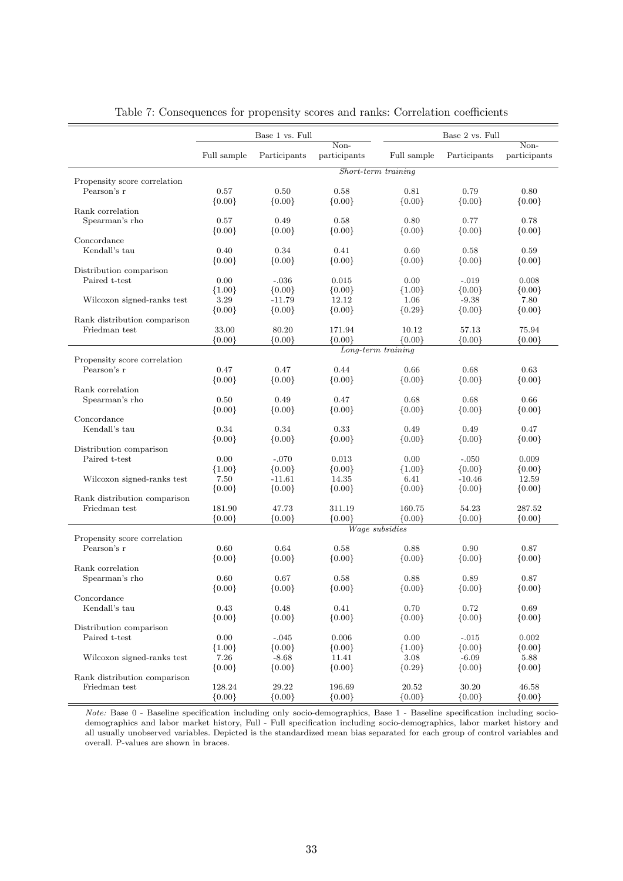|                                             |                   | Base 1 vs. Full |              |                       | Base 2 vs. Full |                   |  |  |
|---------------------------------------------|-------------------|-----------------|--------------|-----------------------|-----------------|-------------------|--|--|
|                                             |                   |                 | Non-         |                       |                 | Non-              |  |  |
|                                             | Full sample       | Participants    | participants | Full sample           | Participants    | participants      |  |  |
|                                             |                   |                 |              | Short-term training   |                 |                   |  |  |
| Propensity score correlation<br>Pearson's r | 0.57              | 0.50            | 0.58         | 0.81                  | 0.79            | 0.80              |  |  |
|                                             | ${0.00}$          | ${0.00}$        | ${0.00}$     | ${0.00}$              | ${0.00}$        | ${0.00}$          |  |  |
| Rank correlation                            |                   |                 |              |                       |                 |                   |  |  |
| Spearman's rho                              | 0.57              | 0.49            | 0.58         | 0.80                  | 0.77            | 0.78              |  |  |
|                                             | ${0.00}$          | ${0.00}$        | ${0.00}$     | ${0.00}$              | ${0.00}$        | ${0.00}$          |  |  |
| Concordance                                 |                   |                 |              |                       |                 |                   |  |  |
| Kendall's tau                               | 0.40              | 0.34            | 0.41         | 0.60                  | 0.58            | 0.59              |  |  |
|                                             | ${0.00}$          | ${0.00}$        | ${0.00}$     | ${0.00}$              | ${0.00}$        | ${0.00}$          |  |  |
| Distribution comparison                     |                   |                 |              |                       |                 |                   |  |  |
| Paired t-test                               | 0.00              | $-.036$         | 0.015        | 0.00                  | $-.019$         | 0.008             |  |  |
|                                             | ${1.00}$          | ${0.00}$        | ${0.00}$     | ${1.00}$              | ${0.00}$        | ${0.00}$          |  |  |
| Wilcoxon signed-ranks test                  | 3.29              | $-11.79$        | 12.12        | 1.06                  | $-9.38$         | 7.80              |  |  |
|                                             | ${0.00}$          | ${0.00}$        | ${0.00}$     | ${0.29}$              | ${0.00}$        | ${0.00}$          |  |  |
| Rank distribution comparison                |                   | 80.20           | 171.94       | 10.12                 |                 |                   |  |  |
| Friedman test                               | 33.00<br>${0.00}$ |                 |              | ${0.00}$              | 57.13           | 75.94<br>${0.00}$ |  |  |
|                                             |                   | ${0.00}$        | ${0.00}$     | Long-term training    | ${0.00}$        |                   |  |  |
| Propensity score correlation                |                   |                 |              |                       |                 |                   |  |  |
| Pearson's r                                 | 0.47              | 0.47            | 0.44         | 0.66                  | 0.68            | 0.63              |  |  |
|                                             | ${0.00}$          | ${0.00}$        | ${0.00}$     | ${0.00}$              | ${0.00}$        | ${0.00}$          |  |  |
| Rank correlation                            |                   |                 |              |                       |                 |                   |  |  |
| Spearman's rho                              | 0.50              | 0.49            | 0.47         | 0.68                  | 0.68            | 0.66              |  |  |
|                                             | ${0.00}$          | ${0.00}$        | ${0.00}$     | ${0.00}$              | ${0.00}$        | ${0.00}$          |  |  |
| Concordance                                 |                   |                 |              |                       |                 |                   |  |  |
| Kendall's tau                               | 0.34              | 0.34            | 0.33         | 0.49                  | 0.49            | 0.47              |  |  |
|                                             | ${0.00}$          | ${0.00}$        | ${0.00}$     | ${0.00}$              | ${0.00}$        | ${0.00}$          |  |  |
| Distribution comparison                     |                   |                 |              |                       |                 |                   |  |  |
| Paired t-test                               | 0.00              | $-.070$         | 0.013        | 0.00                  | $-.050$         | 0.009             |  |  |
|                                             | ${1.00}$          | ${0.00}$        | ${0.00}$     | ${1.00}$              | ${0.00}$        | ${0.00}$          |  |  |
| Wilcoxon signed-ranks test                  | 7.50              | $-11.61$        | 14.35        | 6.41                  | $-10.46$        | 12.59             |  |  |
|                                             | ${0.00}$          | $\{0.00\}$      | ${0.00}$     | ${0.00}$              | ${0.00}$        | ${0.00}$          |  |  |
| Rank distribution comparison                |                   |                 |              |                       |                 |                   |  |  |
| Friedman test                               | 181.90            | 47.73           | 311.19       | 160.75                | 54.23           | 287.52            |  |  |
|                                             | ${0.00}$          | ${0.00}$        | ${0.00}$     | ${0.00}$              | ${0.00}$        | ${0.00}$          |  |  |
| Propensity score correlation                |                   |                 |              | <i>Wage subsidies</i> |                 |                   |  |  |
| Pearson's r                                 | 0.60              | 0.64            | 0.58         | 0.88                  | 0.90            | 0.87              |  |  |
|                                             | ${0.00}$          | ${0.00}$        | ${0.00}$     | ${0.00}$              | ${0.00}$        | ${0.00}$          |  |  |
| Rank correlation                            |                   |                 |              |                       |                 |                   |  |  |
| Spearman's rho                              | 0.60              | 0.67            | 0.58         | 0.88                  | 0.89            | 0.87              |  |  |
|                                             | ${0.00}$          | ${0.00}$        | ${0.00}$     | ${0.00}$              | ${0.00}$        | ${0.00}$          |  |  |
| Concordance                                 |                   |                 |              |                       |                 |                   |  |  |
| Kendall's tau                               | 0.43              | 0.48            | 0.41         | 0.70                  | 0.72            | 0.69              |  |  |
|                                             | ${0.00}$          | ${0.00}$        | ${0.00}$     | ${0.00}$              | ${0.00}$        | ${0.00}$          |  |  |
| Distribution comparison                     |                   |                 |              |                       |                 |                   |  |  |
| Paired t-test                               | 0.00              | $-.045$         | 0.006        | 0.00                  | $-.015$         | 0.002             |  |  |
|                                             | ${1.00}$          | ${0.00}$        | ${0.00}$     | ${1.00}$              | ${0.00}$        | ${0.00}$          |  |  |
| Wilcoxon signed-ranks test                  | 7.26              | $-8.68$         | 11.41        | 3.08                  | $-6.09$         | 5.88              |  |  |
|                                             | ${0.00}$          | ${0.00}$        | ${0.00}$     | ${0.29}$              | ${0.00}$        | ${0.00}$          |  |  |
| Rank distribution comparison                |                   |                 |              |                       |                 |                   |  |  |
| Friedman test                               | 128.24            | 29.22           | 196.69       | 20.52                 | 30.20           | 46.58             |  |  |
|                                             | ${0.00}$          | ${0.00}$        | ${0.00}$     | ${0.00}$              | ${0.00}$        | ${0.00}$          |  |  |

Table 7: Consequences for propensity scores and ranks: Correlation coefficients

Note: Base 0 - Baseline specification including only socio-demographics, Base 1 - Baseline specification including sociodemographics and labor market history, Full - Full specification including socio-demographics, labor market history and all usually unobserved variables. Depicted is the standardized mean bias separated for each group of control variables and overall. P-values are shown in braces.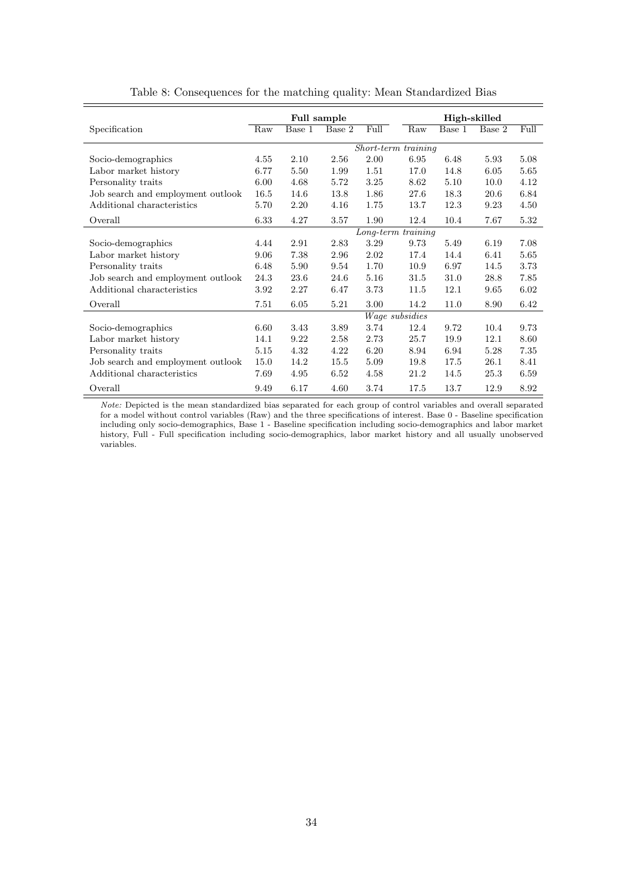|                                   | <b>Full sample</b> |        |        |      |                     | High-skilled |        |      |  |
|-----------------------------------|--------------------|--------|--------|------|---------------------|--------------|--------|------|--|
| Specification                     | Raw                | Base 1 | Base 2 | Full | Raw                 | Base 1       | Base 2 | Full |  |
|                                   |                    |        |        |      | Short-term training |              |        |      |  |
| Socio-demographics                | 4.55               | 2.10   | 2.56   | 2.00 | 6.95                | 6.48         | 5.93   | 5.08 |  |
| Labor market history              | 6.77               | 5.50   | 1.99   | 1.51 | 17.0                | 14.8         | 6.05   | 5.65 |  |
| Personality traits                | 6.00               | 4.68   | 5.72   | 3.25 | 8.62                | 5.10         | 10.0   | 4.12 |  |
| Job search and employment outlook | 16.5               | 14.6   | 13.8   | 1.86 | 27.6                | 18.3         | 20.6   | 6.84 |  |
| Additional characteristics        | 5.70               | 2.20   | 4.16   | 1.75 | 13.7                | 12.3         | 9.23   | 4.50 |  |
| Overall                           | 6.33               | 4.27   | 3.57   | 1.90 | 12.4                | 10.4         | 7.67   | 5.32 |  |
|                                   |                    |        |        |      | Long-term training  |              |        |      |  |
| Socio-demographics                | 4.44               | 2.91   | 2.83   | 3.29 | 9.73                | 5.49         | 6.19   | 7.08 |  |
| Labor market history              | 9.06               | 7.38   | 2.96   | 2.02 | 17.4                | 14.4         | 6.41   | 5.65 |  |
| Personality traits                | 6.48               | 5.90   | 9.54   | 1.70 | 10.9                | 6.97         | 14.5   | 3.73 |  |
| Job search and employment outlook | 24.3               | 23.6   | 24.6   | 5.16 | 31.5                | 31.0         | 28.8   | 7.85 |  |
| Additional characteristics        | 3.92               | 2.27   | 6.47   | 3.73 | 11.5                | 12.1         | 9.65   | 6.02 |  |
| Overall                           | 7.51               | 6.05   | 5.21   | 3.00 | 14.2                | 11.0         | 8.90   | 6.42 |  |
|                                   |                    |        |        |      | Wage subsidies      |              |        |      |  |
| Socio-demographics                | 6.60               | 3.43   | 3.89   | 3.74 | 12.4                | 9.72         | 10.4   | 9.73 |  |
| Labor market history              | 14.1               | 9.22   | 2.58   | 2.73 | 25.7                | 19.9         | 12.1   | 8.60 |  |
| Personality traits                | 5.15               | 4.32   | 4.22   | 6.20 | 8.94                | 6.94         | 5.28   | 7.35 |  |
| Job search and employment outlook | 15.0               | 14.2   | 15.5   | 5.09 | 19.8                | 17.5         | 26.1   | 8.41 |  |
| Additional characteristics        | 7.69               | 4.95   | 6.52   | 4.58 | 21.2                | 14.5         | 25.3   | 6.59 |  |
| Overall                           | 9.49               | 6.17   | 4.60   | 3.74 | 17.5                | 13.7         | 12.9   | 8.92 |  |

Table 8: Consequences for the matching quality: Mean Standardized Bias

Note: Depicted is the mean standardized bias separated for each group of control variables and overall separated for a model without control variables (Raw) and the three specifications of interest. Base 0 - Baseline specification including only socio-demographics, Base 1 - Baseline specification including socio-demographics and labor market history, Full - Full specification including socio-demographics, labor market history and all usually unobserved variables.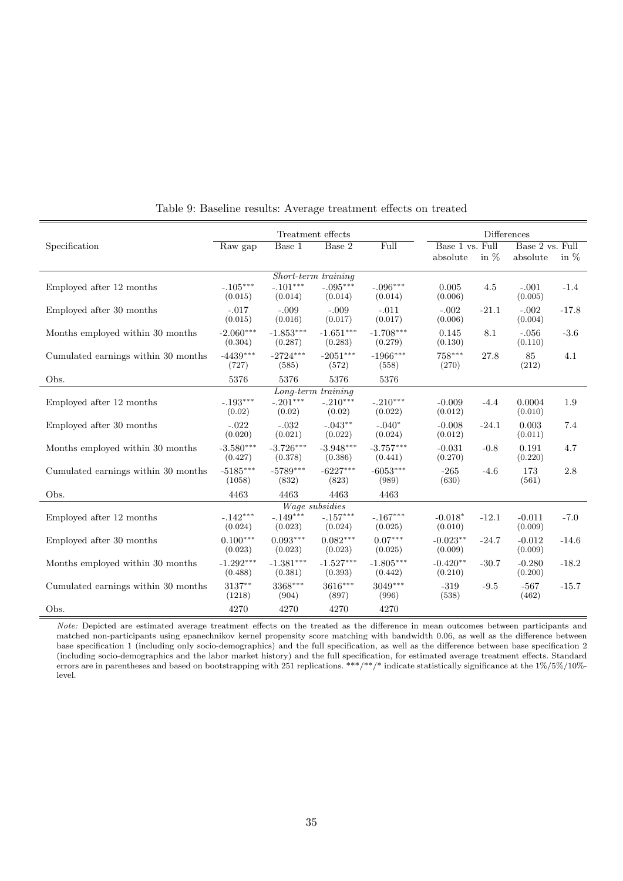|                                     |                        |                        | <b>Differences</b>                |                        |                       |         |                     |         |
|-------------------------------------|------------------------|------------------------|-----------------------------------|------------------------|-----------------------|---------|---------------------|---------|
| Specification                       | Raw gap                | Base 1                 | Base 2                            | Full                   | Base 1 vs. Full       |         | Base 2 vs. Full     |         |
|                                     |                        |                        |                                   |                        | absolute              | in $\%$ | absolute            | in $%$  |
|                                     |                        |                        | Short-term training               |                        |                       |         |                     |         |
| Employed after 12 months            | $-.105***$<br>(0.015)  | $-.101***$<br>(0.014)  | $-.095***$<br>(0.014)             | $-.096***$<br>(0.014)  | 0.005<br>(0.006)      | 4.5     | $-.001$<br>(0.005)  | $-1.4$  |
| Employed after 30 months            | $-.017$<br>(0.015)     | $-.009$<br>(0.016)     | $-.009$<br>(0.017)                | $-.011$<br>(0.017)     | $-.002$<br>(0.006)    | $-21.1$ | $-.002$<br>(0.004)  | $-17.8$ |
| Months employed within 30 months    | $-2.060***$<br>(0.304) | $-1.853***$<br>(0.287) | $-1.651***$<br>(0.283)            | $-1.708***$<br>(0.279) | 0.145<br>(0.130)      | 8.1     | $-.056$<br>(0.110)  | $-3.6$  |
| Cumulated earnings within 30 months | $-4439***$<br>(727)    | $-2724***$<br>(585)    | $-2051***$<br>(572)               | $-1966***$<br>(558)    | $758***$<br>(270)     | 27.8    | 85<br>(212)         | 4.1     |
| Obs.                                | 5376                   | 5376                   | 5376                              | 5376                   |                       |         |                     |         |
|                                     |                        |                        | Long-term training                |                        |                       |         |                     |         |
| Employed after 12 months            | $-.193***$<br>(0.02)   | $-.201***$<br>(0.02)   | $-.210***$<br>(0.02)              | $-.210***$<br>(0.022)  | $-0.009$<br>(0.012)   | $-4.4$  | 0.0004<br>(0.010)   | 1.9     |
| Employed after 30 months            | $-.022$<br>(0.020)     | $-.032$<br>(0.021)     | $-.043***$<br>(0.022)             | $-.040*$<br>(0.024)    | $-0.008$<br>(0.012)   | $-24.1$ | 0.003<br>(0.011)    | 7.4     |
| Months employed within 30 months    | $-3.580***$<br>(0.427) | $-3.726***$<br>(0.378) | $-3.948***$<br>(0.386)            | $-3.757***$<br>(0.441) | $-0.031$<br>(0.270)   | $-0.8$  | 0.191<br>(0.220)    | 4.7     |
| Cumulated earnings within 30 months | $-5185***$<br>(1058)   | $-5789***$<br>(832)    | $-6227***$<br>(823)               | $-6053***$<br>(989)    | $-265$<br>(630)       | $-4.6$  | 173<br>(561)        | 2.8     |
| Obs.                                | 4463                   | 4463                   | 4463                              | 4463                   |                       |         |                     |         |
|                                     |                        |                        | Wage subsidies                    |                        |                       |         |                     |         |
| Employed after 12 months            | $-.142***$<br>(0.024)  | $-.149***$<br>(0.023)  | $-.157^{\ast\ast\ast}$<br>(0.024) | $-.167***$<br>(0.025)  | $-0.018*$<br>(0.010)  | $-12.1$ | $-0.011$<br>(0.009) | $-7.0$  |
| Employed after 30 months            | $0.100***$<br>(0.023)  | $0.093***$<br>(0.023)  | $0.082***$<br>(0.023)             | $0.07***$<br>(0.025)   | $-0.023**$<br>(0.009) | $-24.7$ | $-0.012$<br>(0.009) | $-14.6$ |
| Months employed within 30 months    | $-1.292***$<br>(0.488) | $-1.381***$<br>(0.381) | $-1.527***$<br>(0.393)            | $-1.805***$<br>(0.442) | $-0.420**$<br>(0.210) | $-30.7$ | $-0.280$<br>(0.200) | $-18.2$ |
| Cumulated earnings within 30 months | $3137***$<br>(1218)    | $3368***$<br>(904)     | 3616***<br>(897)                  | 3049***<br>(996)       | $-319$<br>(538)       | $-9.5$  | $-567$<br>(462)     | $-15.7$ |
| Obs.                                | 4270                   | 4270                   | 4270                              | 4270                   |                       |         |                     |         |

Table 9: Baseline results: Average treatment effects on treated

Note: Depicted are estimated average treatment effects on the treated as the difference in mean outcomes between participants and matched non-participants using epanechnikov kernel propensity score matching with bandwidth 0.06, as well as the difference between base specification 1 (including only socio-demographics) and the full specification, as well as the difference between base specification 2 (including socio-demographics and the labor market history) and the full specification, for estimated average treatment effects. Standard errors are in parentheses and based on bootstrapping with 251 replications. \*\*\*/\*\*/\* indicate statistically significance at the 1%/5%/10%level.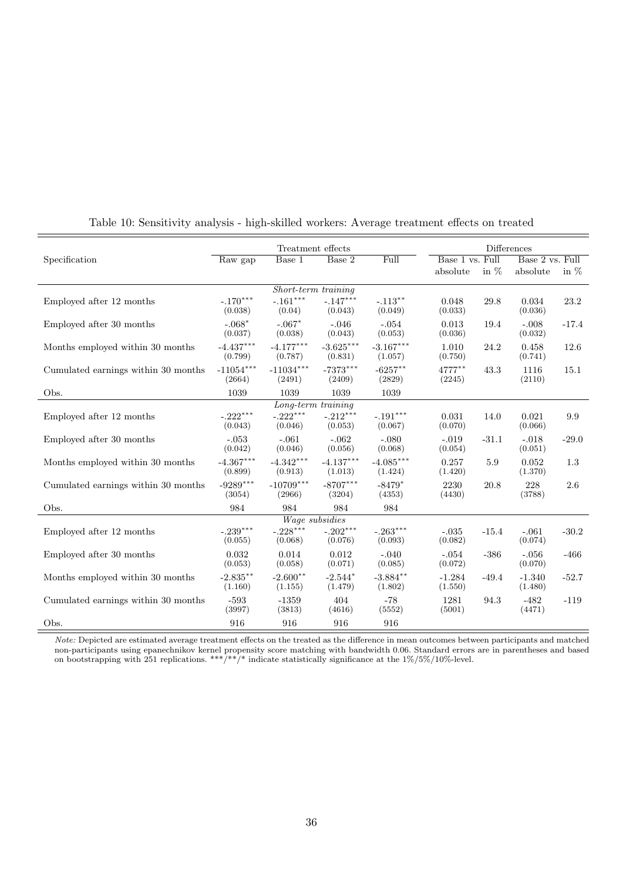|                                     | Treatment effects     |                        |                       |                        |                    | <b>Differences</b> |                    |         |
|-------------------------------------|-----------------------|------------------------|-----------------------|------------------------|--------------------|--------------------|--------------------|---------|
| Specification                       | Raw gap               | Base 1                 | Base 2                | Full                   | Base 1 vs. Full    |                    | Base 2 vs. Full    |         |
|                                     |                       |                        |                       |                        | absolute           | in $%$             | absolute           | in $%$  |
|                                     |                       | Short-term training    |                       |                        |                    |                    |                    |         |
| Employed after 12 months            | $-.170***$            | $-.161^{\ast\ast\ast}$ | $-.147***$            | $-.113**$              | 0.048              | 29.8               | 0.034              | 23.2    |
|                                     | (0.038)               | (0.04)                 | (0.043)               | (0.049)                | (0.033)            |                    | (0.036)            |         |
| Employed after 30 months            | $-.068*$<br>(0.037)   | $-.067*$<br>(0.038)    | $-.046$<br>(0.043)    | $-.054$<br>(0.053)     | 0.013<br>(0.036)   | 19.4               | $-.008$<br>(0.032) | $-17.4$ |
| Months employed within 30 months    | $-4.437***$           | $-4.177***$            | $-3.625***$           | $-3.167***$            | 1.010              | 24.2               | 0.458              | 12.6    |
|                                     | (0.799)               | (0.787)                | (0.831)               | (1.057)                | (0.750)            |                    | (0.741)            |         |
| Cumulated earnings within 30 months | $-11054***$<br>(2664) | $-11034***$<br>(2491)  | $-7373***$<br>(2409)  | $-6257**$<br>(2829)    | 4777**<br>(2245)   | 43.3               | 1116<br>(2110)     | 15.1    |
| Obs.                                | 1039                  | 1039                   | 1039                  | 1039                   |                    |                    |                    |         |
|                                     |                       | Long-term training     |                       |                        |                    |                    |                    |         |
| Employed after 12 months            | $-.222***$            | $-.222***$             | $-.212***$            | $-.191^{\ast\ast\ast}$ | 0.031              | 14.0               | 0.021              | 9.9     |
|                                     | (0.043)               | (0.046)                | (0.053)               | (0.067)                | (0.070)            |                    | (0.066)            |         |
| Employed after 30 months            | $-.053$<br>(0.042)    | $-.061$<br>(0.046)     | $-.062$<br>(0.056)    | $-.080$<br>(0.068)     | $-.019$<br>(0.054) | $-31.1$            | $-.018$<br>(0.051) | $-29.0$ |
| Months employed within 30 months    | $-4.367***$           | $-4.342***$            | $-4.137***$           | $-4.085***$            | 0.257              | 5.9                | 0.052              | 1.3     |
|                                     | (0.899)               | (0.913)                | (1.013)               | (1.424)                | (1.420)            |                    | (1.370)            |         |
| Cumulated earnings within 30 months | $-9289***$            | $-10709***$            | $-8707***$            | $-8479*$               | 2230               | 20.8               | 228                | 2.6     |
|                                     | (3054)                | (2966)                 | (3204)                | (4353)                 | (4430)             |                    | (3788)             |         |
| Obs.                                | 984                   | 984                    | 984                   | 984                    |                    |                    |                    |         |
|                                     |                       | Wage subsidies         |                       |                        |                    |                    |                    |         |
| Employed after 12 months            | $-.239***$<br>(0.055) | $-.228***$<br>(0.068)  | $-.202***$<br>(0.076) | $-.263***$<br>(0.093)  | $-.035$<br>(0.082) | $-15.4$            | $-.061$<br>(0.074) | $-30.2$ |
|                                     |                       |                        |                       |                        |                    |                    |                    |         |
| Employed after 30 months            | 0.032<br>(0.053)      | 0.014<br>(0.058)       | 0.012<br>(0.071)      | $-.040$<br>(0.085)     | $-.054$<br>(0.072) | $-386$             | $-.056$<br>(0.070) | $-466$  |
| Months employed within 30 months    | $-2.835**$            | $-2.600**$             | $-2.544*$             | $-3.884**$             | $-1.284$           | $-49.4$            | $-1.340$           | $-52.7$ |
|                                     | (1.160)               | (1.155)                | (1.479)               | (1.802)                | (1.550)            |                    | (1.480)            |         |
| Cumulated earnings within 30 months | $-593$                | $-1359$                | 404                   | $-78$                  | 1281               | 94.3               | $-482$             | $-119$  |
|                                     | (3997)                | (3813)                 | (4616)                | (5552)                 | (5001)             |                    | (4471)             |         |
| Obs.                                | 916                   | 916                    | 916                   | 916                    |                    |                    |                    |         |

## Table 10: Sensitivity analysis - high-skilled workers: Average treatment effects on treated

Note: Depicted are estimated average treatment effects on the treated as the difference in mean outcomes between participants and matched non-participants using epanechnikov kernel propensity score matching with bandwidth 0.06. Standard errors are in parentheses and based on bootstrapping with 251 replications. \*\*\*/\*\*/\* indicate statistically significance at the  $1\%/5\%/10\%$ -level.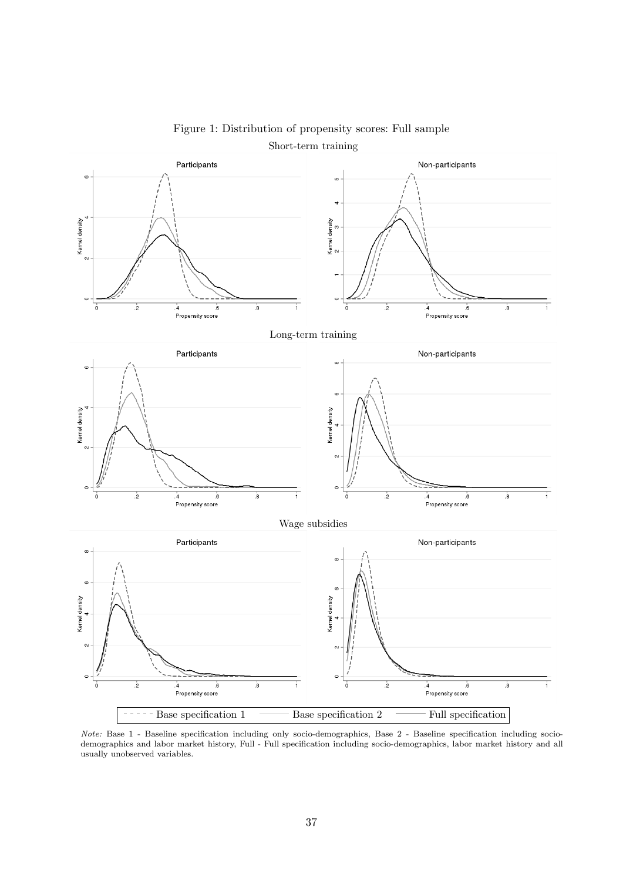

Figure 1: Distribution of propensity scores: Full sample

Note: Base 1 - Baseline specification including only socio-demographics, Base 2 - Baseline specification including sociodemographics and labor market history, Full - Full specification including socio-demographics, labor market history and all usually unobserved variables.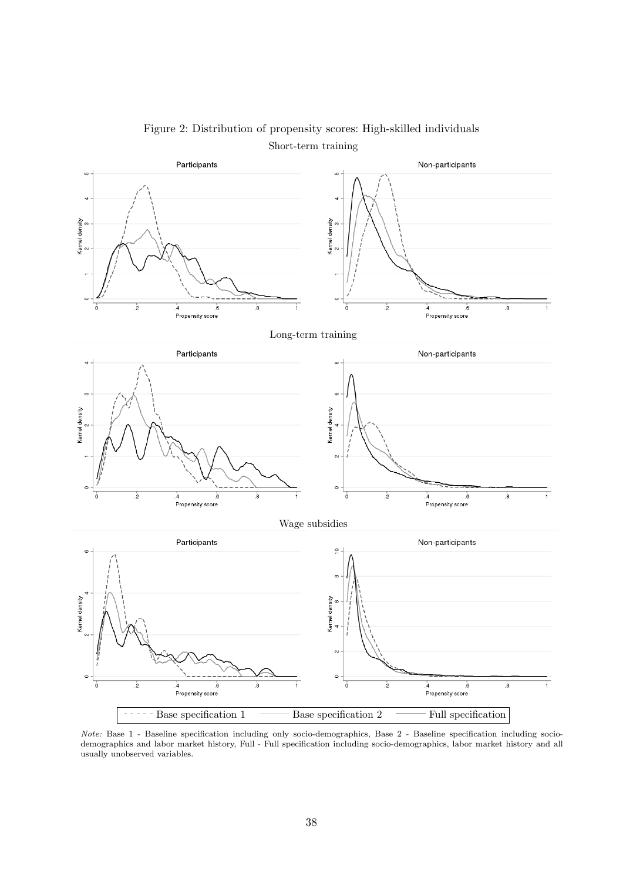

Figure 2: Distribution of propensity scores: High-skilled individuals

Note: Base 1 - Baseline specification including only socio-demographics, Base 2 - Baseline specification including sociodemographics and labor market history, Full - Full specification including socio-demographics, labor market history and all usually unobserved variables.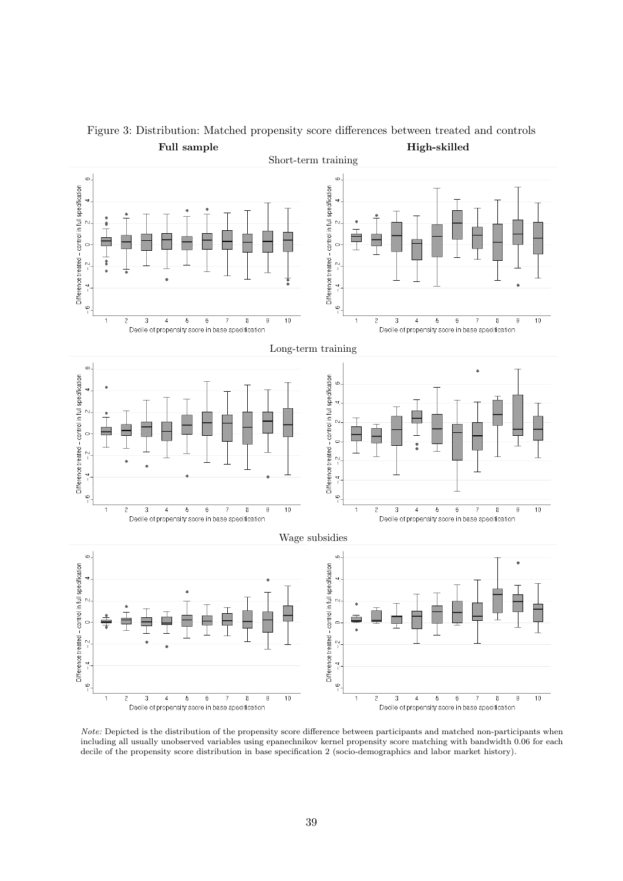

Figure 3: Distribution: Matched propensity score differences between treated and controls Full sample High-skilled

Note: Depicted is the distribution of the propensity score difference between participants and matched non-participants when including all usually unobserved variables using epanechnikov kernel propensity score matching with bandwidth 0.06 for each decile of the propensity score distribution in base specification 2 (socio-demographics and labor market history).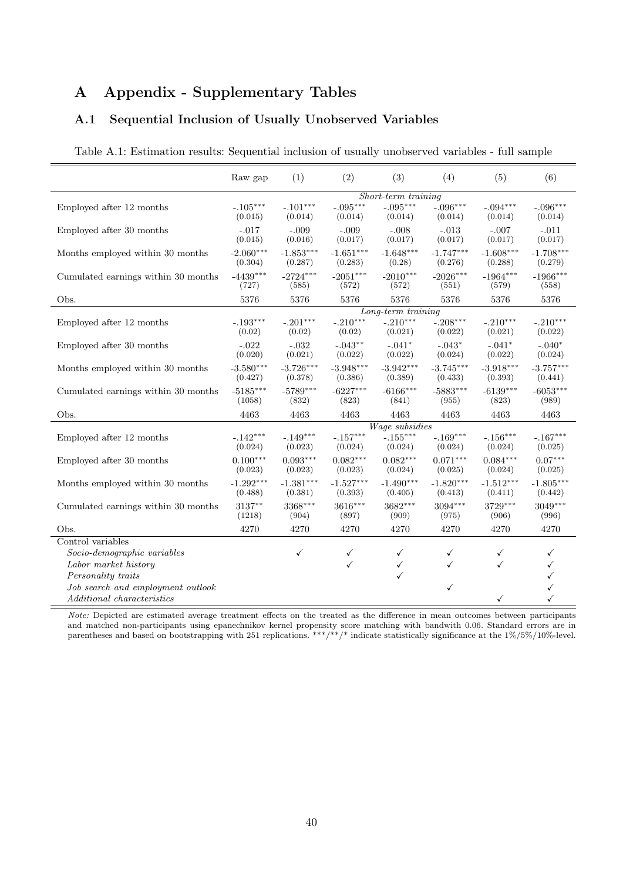## A Appendix - Supplementary Tables

## A.1 Sequential Inclusion of Usually Unobserved Variables

|                                     | Raw gap             | (1)                | (2)                | (3)                   | (4)                | (5)                | (6)                |
|-------------------------------------|---------------------|--------------------|--------------------|-----------------------|--------------------|--------------------|--------------------|
|                                     | Short-term training |                    |                    |                       |                    |                    |                    |
| Employed after 12 months            | $-.105***$          | $-.101***$         | $-.095***$         | $-.095***$            | $-.096***$         | $-.094***$         | $-.096***$         |
|                                     | (0.015)             | (0.014)            | (0.014)            | (0.014)               | (0.014)            | (0.014)            | (0.014)            |
| Employed after 30 months            | $-.017$<br>(0.015)  | $-.009$<br>(0.016) | $-.009$<br>(0.017) | $-.008$<br>(0.017)    | $-.013$<br>(0.017) | $-.007$<br>(0.017) | $-.011$<br>(0.017) |
| Months employed within 30 months    | $-2.060***$         | $-1.853***$        | $-1.651***$        | $-1.648***$           | $-1.747***$        | $-1.608***$        | $-1.708***$        |
|                                     | (0.304)             | (0.287)            | (0.283)            | (0.28)                | (0.276)            | (0.288)            | (0.279)            |
| Cumulated earnings within 30 months | $-4439***$          | $-2724***$         | $-2051***$         | $-2010***$            | $-2026***$         | $-1964***$         | $-1966***$         |
|                                     | (727)               | (585)              | (572)              | (572)                 | (551)              | (579)              | (558)              |
| Obs.                                | 5376                | 5376               | 5376               | 5376                  | 5376               | 5376               | 5376               |
|                                     |                     |                    |                    | Long-term training    |                    |                    |                    |
| Employed after 12 months            | $-.193***$          | $-.201***$         | $-.210***$         | $-.210***$            | $-.208***$         | $-.210***$         | $-.210***$         |
|                                     | (0.02)              | (0.02)             | (0.02)             | (0.021)               | (0.022)            | (0.021)            | (0.022)            |
| Employed after 30 months            | $-.022$             | $-.032$            | $-.043**$          | $-.041*$              | $-.043*$           | $-.041*$           | $-.040*$           |
|                                     | (0.020)             | (0.021)            | (0.022)            | (0.022)               | (0.024)            | (0.022)            | (0.024)            |
| Months employed within 30 months    | $-3.580***$         | $-3.726***$        | $-3.948***$        | $-3.942***$           | $-3.745***$        | $-3.918***$        | $-3.757***$        |
|                                     | (0.427)             | (0.378)            | (0.386)            | (0.389)               | (0.433)            | (0.393)            | (0.441)            |
| Cumulated earnings within 30 months | $-5185***$          | $-5789***$         | $-6227***$         | $-6166***$            | $-5883***$         | $-6139***$         | $-6053***$         |
|                                     | (1058)              | (832)              | (823)              | (841)                 | (955)              | (823)              | (989)              |
| Obs.                                | 4463                | 4463               | 4463               | 4463                  | 4463               | 4463               | 4463               |
|                                     |                     |                    |                    | <i>Wage subsidies</i> |                    |                    |                    |
| Employed after 12 months            | $-.142***$          | $-.149***$         | $-.157***$         | $-.155***$            | $-.169***$         | $-.156***$         | $-.167***$         |
|                                     | (0.024)             | (0.023)            | (0.024)            | (0.024)               | (0.024)            | (0.024)            | (0.025)            |
| Employed after 30 months            | $0.100***$          | $0.093***$         | $0.082***$         | $0.082***$            | $0.071***$         | $0.084***$         | $0.07***$          |
|                                     | (0.023)             | (0.023)            | (0.023)            | (0.024)               | (0.025)            | (0.024)            | (0.025)            |
| Months employed within 30 months    | $-1.292***$         | $-1.381***$        | $-1.527***$        | $-1.490***$           | $-1.820***$        | $-1.512***$        | $-1.805***$        |
|                                     | (0.488)             | (0.381)            | (0.393)            | (0.405)               | (0.413)            | (0.411)            | (0.442)            |
| Cumulated earnings within 30 months | $3137***$           | 3368***            | 3616***            | $3682***$             | $3094***$          | 3729***            | $3049***$          |
|                                     | (1218)              | (904)              | (897)              | (909)                 | (975)              | (906)              | (996)              |
| Obs.                                | 4270                | 4270               | 4270               | 4270                  | 4270               | 4270               | 4270               |
| Control variables                   |                     |                    |                    |                       |                    |                    |                    |
| Socio-demographic variables         |                     | $\checkmark$       | ✓                  | ✓                     | ✓                  | ✓                  | ✓                  |
| Labor market history                |                     |                    | ✓                  | ✓                     | ✓                  | ✓                  |                    |
| Personality traits                  |                     |                    |                    | ✓                     |                    |                    | ✓                  |
| Job search and employment outlook   |                     |                    |                    |                       | $\checkmark$       |                    |                    |
| <i>Additional characteristics</i>   |                     |                    |                    |                       |                    | ✓                  |                    |

Note: Depicted are estimated average treatment effects on the treated as the difference in mean outcomes between participants and matched non-participants using epanechnikov kernel propensity score matching with bandwith 0.06. Standard errors are in parentheses and based on bootstrapping with 251 replications. \*\*\*/\*\*/\* indicate statistically significance at the 1%/5%/10%-level.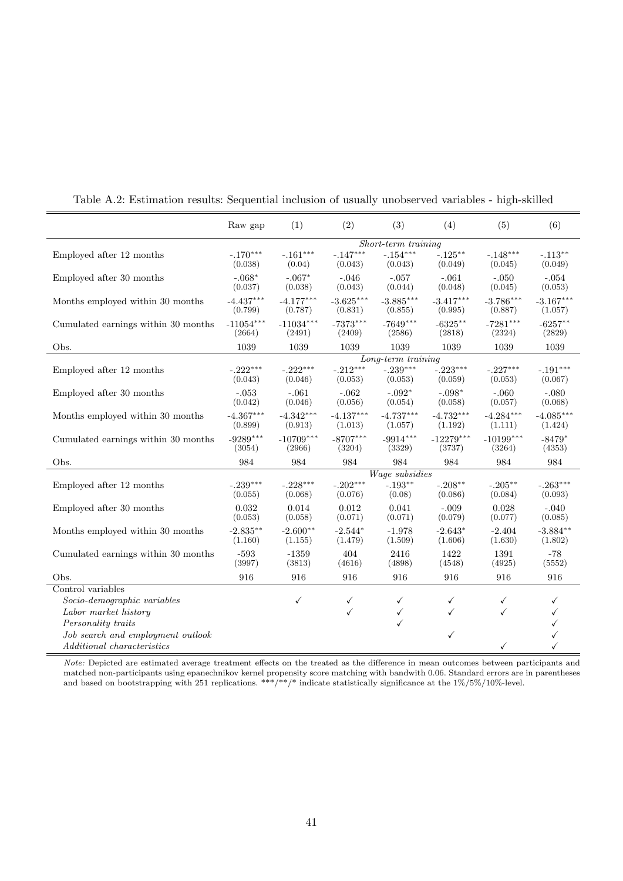|                                     | Raw gap                | (1)                    | (2)                    | (3)                    | (4)                    | (5)                    | (6)                    |
|-------------------------------------|------------------------|------------------------|------------------------|------------------------|------------------------|------------------------|------------------------|
|                                     | Short-term training    |                        |                        |                        |                        |                        |                        |
| Employed after 12 months            | $-.170***$<br>(0.038)  | $-.161***$<br>(0.04)   | $-.147***$<br>(0.043)  | $-.154***$<br>(0.043)  | $-.125***$<br>(0.049)  | $-.148***$<br>(0.045)  | $-.113**$<br>(0.049)   |
| Employed after 30 months            | $-.068*$<br>(0.037)    | $-.067*$<br>(0.038)    | $-.046$<br>(0.043)     | $-.057$<br>(0.044)     | $-.061$<br>(0.048)     | $-.050$<br>(0.045)     | $-.054$<br>(0.053)     |
| Months employed within 30 months    | $-4.437***$<br>(0.799) | $-4.177***$<br>(0.787) | $-3.625***$<br>(0.831) | $-3.885***$<br>(0.855) | $-3.417***$<br>(0.995) | $-3.786***$<br>(0.887) | $-3.167***$<br>(1.057) |
| Cumulated earnings within 30 months | $-11054***$<br>(2664)  | $-11034***$<br>(2491)  | $-7373***$<br>(2409)   | $-7649***$<br>(2586)   | $-6325***$<br>(2818)   | $-7281***$<br>(2324)   | $-6257**$<br>(2829)    |
| Obs.                                | 1039                   | 1039                   | 1039                   | 1039                   | 1039                   | 1039                   | 1039                   |
|                                     |                        |                        |                        | Long-term training     |                        |                        |                        |
| Employed after 12 months            | $-.222***$<br>(0.043)  | $-.222***$<br>(0.046)  | $-.212***$<br>(0.053)  | $-.239***$<br>(0.053)  | $-.223***$<br>(0.059)  | $-.227***$<br>(0.053)  | $-.191***$<br>(0.067)  |
| Employed after 30 months            | $-.053$<br>(0.042)     | $-.061$<br>(0.046)     | $-.062$<br>(0.056)     | $-.092*$<br>(0.054)    | $-.098*$<br>(0.058)    | $-.060$<br>(0.057)     | $-.080$<br>(0.068)     |
| Months employed within 30 months    | $-4.367***$<br>(0.899) | $-4.342***$<br>(0.913) | $-4.137***$<br>(1.013) | $-4.737***$<br>(1.057) | $-4.732***$<br>(1.192) | $-4.284***$<br>(1.111) | $-4.085***$<br>(1.424) |
| Cumulated earnings within 30 months | $-9289***$<br>(3054)   | $-10709***$<br>(2966)  | $-8707***$<br>(3204)   | $-9914***$<br>(3329)   | $-12279***$<br>(3737)  | $-10199***$<br>(3264)  | $-8479*$<br>(4353)     |
| Obs.                                | 984                    | 984                    | 984                    | 984                    | 984                    | 984                    | 984                    |
|                                     |                        |                        |                        | Wage subsidies         |                        |                        |                        |
| Employed after 12 months            | $-.239***$<br>(0.055)  | $-.228***$<br>(0.068)  | $-.202***$<br>(0.076)  | $-.193**$<br>(0.08)    | $-.208***$<br>(0.086)  | $-.205***$<br>(0.084)  | $-.263***$<br>(0.093)  |
| Employed after 30 months            | 0.032<br>(0.053)       | 0.014<br>(0.058)       | 0.012<br>(0.071)       | 0.041<br>(0.071)       | $-.009$<br>(0.079)     | 0.028<br>(0.077)       | $-.040$<br>(0.085)     |
| Months employed within 30 months    | $-2.835***$<br>(1.160) | $-2.600**$<br>(1.155)  | $-2.544*$<br>(1.479)   | $-1.978$<br>(1.509)    | $-2.643*$<br>(1.606)   | $-2.404$<br>(1.630)    | $-3.884**$<br>(1.802)  |
| Cumulated earnings within 30 months | $-593$<br>(3997)       | $-1359$<br>(3813)      | 404<br>(4616)          | 2416<br>(4898)         | 1422<br>(4548)         | 1391<br>(4925)         | $-78$<br>(5552)        |
| Obs.                                | 916                    | 916                    | 916                    | 916                    | 916                    | 916                    | 916                    |
| Control variables                   |                        |                        |                        |                        |                        |                        |                        |
| Socio-demographic variables         |                        | $\checkmark$           | $\checkmark$           | $\checkmark$           | ✓                      | $\checkmark$           | ✓                      |
| Labor market history                |                        |                        | $\checkmark$           | $\checkmark$           | ✓                      | ✓                      |                        |
| Personality traits                  |                        |                        |                        | ✓                      |                        |                        |                        |
| Job search and employment outlook   |                        |                        |                        |                        | ✓                      |                        |                        |
| Additional characteristics          |                        |                        |                        |                        |                        | ✓                      |                        |

Table A.2: Estimation results: Sequential inclusion of usually unobserved variables - high-skilled

Note: Depicted are estimated average treatment effects on the treated as the difference in mean outcomes between participants and matched non-participants using epanechnikov kernel propensity score matching with bandwith 0.06. Standard errors are in parentheses and based on bootstrapping with 251 replications. \*\*\*/\*\*/\* indicate statistically significance at the 1%/5%/10%-level.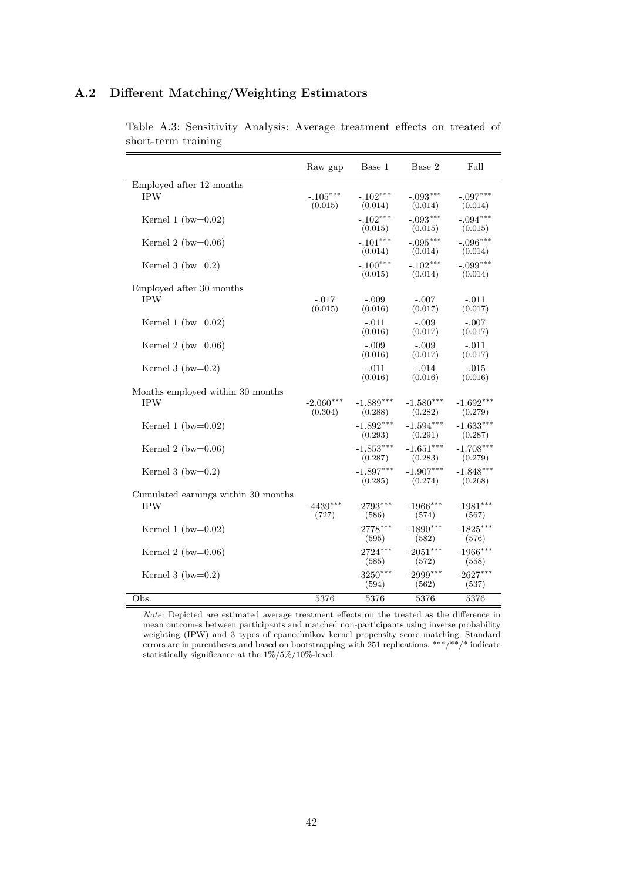## A.2 Different Matching/Weighting Estimators

|                                     | Raw gap                | Base 1                 | Base 2                 | Full                   |
|-------------------------------------|------------------------|------------------------|------------------------|------------------------|
| Employed after 12 months            |                        |                        |                        |                        |
| <b>IPW</b>                          | $-.105***$<br>(0.015)  | $-.102***$<br>(0.014)  | $-.093***$<br>(0.014)  | $-.097***$<br>(0.014)  |
| Kernel 1 (bw= $0.02$ )              |                        | $-.102***$<br>(0.015)  | $-.093***$<br>(0.015)  | $-.094***$<br>(0.015)  |
| Kernel 2 (bw= $0.06$ )              |                        | $-.101***$<br>(0.014)  | $-.095***$<br>(0.014)  | $-.096***$<br>(0.014)  |
| Kernel 3 (bw= $0.2$ )               |                        | $-.100***$<br>(0.015)  | $-.102***$<br>(0.014)  | $-.099***$<br>(0.014)  |
| Employed after 30 months            |                        |                        |                        |                        |
| <b>IPW</b>                          | $-.017$<br>(0.015)     | $-.009$<br>(0.016)     | $-.007$<br>(0.017)     | $-.011$<br>(0.017)     |
| Kernel 1 (bw= $0.02$ )              |                        | $-.011$<br>(0.016)     | $-.009$<br>(0.017)     | $-.007$<br>(0.017)     |
| Kernel 2 (bw= $0.06$ )              |                        | $-.009$<br>(0.016)     | $-.009$<br>(0.017)     | $-.011$<br>(0.017)     |
| Kernel 3 (bw= $0.2$ )               |                        | $-.011$<br>(0.016)     | $-.014$<br>(0.016)     | $-.015$<br>(0.016)     |
| Months employed within 30 months    |                        |                        |                        |                        |
| <b>IPW</b>                          | $-2.060***$<br>(0.304) | $-1.889***$<br>(0.288) | $-1.580***$<br>(0.282) | $-1.692***$<br>(0.279) |
| Kernel 1 (bw= $0.02$ )              |                        | $-1.892***$<br>(0.293) | $-1.594***$<br>(0.291) | $-1.633***$<br>(0.287) |
| Kernel 2 (bw= $0.06$ )              |                        | $-1.853***$<br>(0.287) | $-1.651***$<br>(0.283) | $-1.708***$<br>(0.279) |
| Kernel 3 (bw= $0.2$ )               |                        | $-1.897***$<br>(0.285) | $-1.907***$<br>(0.274) | $-1.848***$<br>(0.268) |
| Cumulated earnings within 30 months |                        |                        |                        |                        |
| <b>IPW</b>                          | $-4439***$<br>(727)    | $-2793***$<br>(586)    | $-1966$ ***<br>(574)   | $-1981***$<br>(567)    |
| Kernel 1 (bw= $0.02$ )              |                        | $-2778***$<br>(595)    | $-1890***$<br>(582)    | $-1825***$<br>(576)    |
| Kernel 2 (bw= $0.06$ )              |                        | $-2724***$<br>(585)    | $-2051***$<br>(572)    | $-1966$ ***<br>(558)   |
| Kernel 3 (bw= $0.2$ )               |                        | $-3250***$<br>(594)    | $-2999$ ***<br>(562)   | $-2627***$<br>(537)    |
| Obs.                                | 5376                   | 5376                   | 5376                   | 5376                   |
|                                     |                        |                        |                        |                        |

Table A.3: Sensitivity Analysis: Average treatment effects on treated of short-term training

Note: Depicted are estimated average treatment effects on the treated as the difference in mean outcomes between participants and matched non-participants using inverse probability weighting (IPW) and 3 types of epanechnikov kernel propensity score matching. Standard errors are in parentheses and based on bootstrapping with 251 replications. \*\*\*/\*\*/\* indicate statistically significance at the  $1\%/5\%/10\%$  level.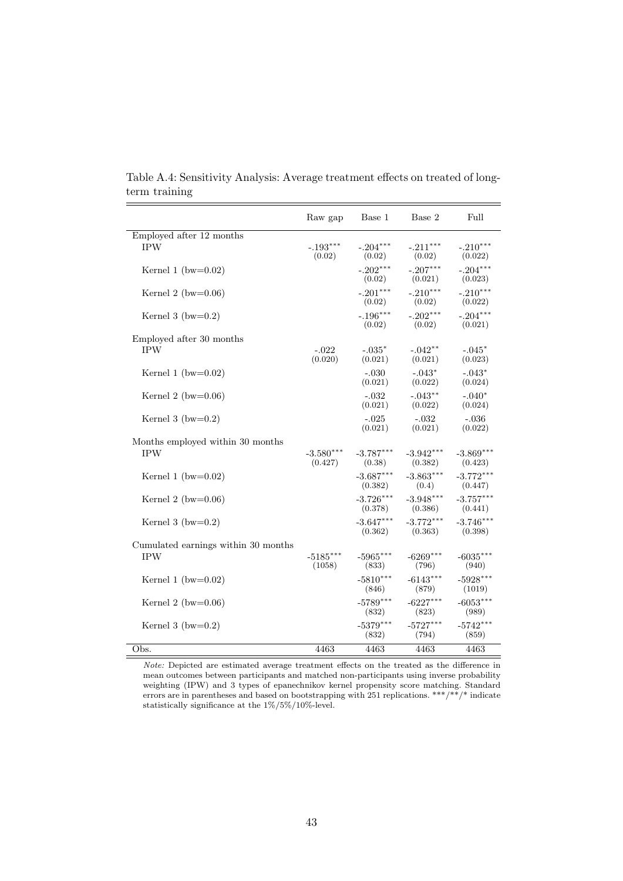|                                     | Raw gap                | Base 1                 | Base 2                 | Full                   |
|-------------------------------------|------------------------|------------------------|------------------------|------------------------|
| Employed after 12 months            |                        |                        |                        |                        |
| <b>IPW</b>                          | $-.193***$<br>(0.02)   | $-.204***$<br>(0.02)   | $-.211***$<br>(0.02)   | $-.210***$<br>(0.022)  |
| Kernel 1 (bw= $0.02$ )              |                        | $-.202***$<br>(0.02)   | $-.207***$<br>(0.021)  | $-.204***$<br>(0.023)  |
| Kernel 2 (bw= $0.06$ )              |                        | $-.201***$<br>(0.02)   | $-.210***$<br>(0.02)   | $-.210***$<br>(0.022)  |
| Kernel 3 (bw= $0.2$ )               |                        | $-.196***$<br>(0.02)   | $-.202***$<br>(0.02)   | $-.204***$<br>(0.021)  |
| Employed after 30 months            |                        |                        |                        |                        |
| <b>IPW</b>                          | $-.022$<br>(0.020)     | $-.035*$<br>(0.021)    | $-.042**$<br>(0.021)   | $-.045*$<br>(0.023)    |
| Kernel 1 (bw= $0.02$ )              |                        | $-.030$<br>(0.021)     | $-.043*$<br>(0.022)    | $-.043*$<br>(0.024)    |
| Kernel 2 (bw= $0.06$ )              |                        | $-.032$<br>(0.021)     | $-.043**$<br>(0.022)   | $-.040*$<br>(0.024)    |
| Kernel 3 (bw= $0.2$ )               |                        | $-.025$<br>(0.021)     | $-.032$<br>(0.021)     | $-.036$<br>(0.022)     |
| Months employed within 30 months    |                        |                        |                        |                        |
| <b>IPW</b>                          | $-3.580***$<br>(0.427) | $-3.787***$<br>(0.38)  | $-3.942***$<br>(0.382) | $-3.869***$<br>(0.423) |
| Kernel 1 (bw= $0.02$ )              |                        | $-3.687***$<br>(0.382) | $-3.863***$<br>(0.4)   | $-3.772***$<br>(0.447) |
| Kernel 2 (bw= $0.06$ )              |                        | $-3.726***$<br>(0.378) | $-3.948***$<br>(0.386) | $-3.757***$<br>(0.441) |
| Kernel 3 (bw= $0.2$ )               |                        | $-3.647***$<br>(0.362) | $-3.772***$<br>(0.363) | $-3.746***$<br>(0.398) |
| Cumulated earnings within 30 months |                        |                        |                        |                        |
| <b>IPW</b>                          | $-5185***$<br>(1058)   | $-5965***$<br>(833)    | $-6269***$<br>(796)    | $-6035***$<br>(940)    |
| Kernel 1 (bw= $0.02$ )              |                        | $-5810***$<br>(846)    | $-6143***$<br>(879)    | $-5928***$<br>(1019)   |
| Kernel 2 (bw= $0.06$ )              |                        | $-5789***$<br>(832)    | $-6227***$<br>(823)    | $-6053***$<br>(989)    |
| Kernel 3 (bw= $0.2$ )               |                        | $-5379***$<br>(832)    | $-5727***$<br>(794)    | $-5742***$<br>(859)    |
| Obs.                                | 4463                   | 4463                   | 4463                   | 4463                   |

Table A.4: Sensitivity Analysis: Average treatment effects on treated of longterm training

Note: Depicted are estimated average treatment effects on the treated as the difference in mean outcomes between participants and matched non-participants using inverse probability weighting (IPW) and 3 types of epanechnikov kernel propensity score matching. Standard errors are in parentheses and based on bootstrapping with 251 replications. \*\*\*/\*\*/\* indicate statistically significance at the 1%/5%/10%-level.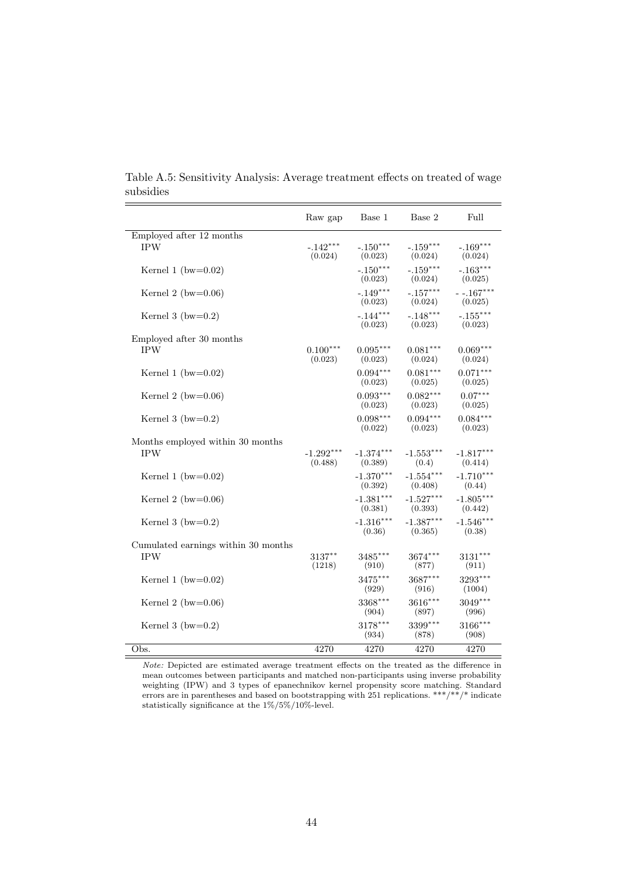|                                                   | Raw gap                | Base 1                 | Base 2                 | Full                   |
|---------------------------------------------------|------------------------|------------------------|------------------------|------------------------|
| Employed after 12 months<br><b>IPW</b>            | $-.142***$<br>(0.024)  | $-.150***$<br>(0.023)  | $-.159***$<br>(0.024)  | $-.169***$<br>(0.024)  |
| Kernel 1 (bw= $0.02$ )                            |                        | $-.150***$<br>(0.023)  | $-.159***$<br>(0.024)  | $-.163***$<br>(0.025)  |
| Kernel 2 (bw= $0.06$ )                            |                        | $-.149***$<br>(0.023)  | $-.157***$<br>(0.024)  | $-167***$<br>(0.025)   |
| Kernel 3 (bw= $0.2$ )                             |                        | $-.144***$<br>(0.023)  | $-.148***$<br>(0.023)  | $-.155***$<br>(0.023)  |
| Employed after 30 months<br><b>IPW</b>            | $0.100***$<br>(0.023)  | $0.095***$<br>(0.023)  | $0.081***$<br>(0.024)  | $0.069***$<br>(0.024)  |
| Kernel 1 (bw= $0.02$ )                            |                        | $0.094***$<br>(0.023)  | $0.081***$<br>(0.025)  | $0.071***$<br>(0.025)  |
| Kernel 2 (bw= $0.06$ )                            |                        | $0.093***$<br>(0.023)  | $0.082***$<br>(0.023)  | $0.07***$<br>(0.025)   |
| Kernel 3 (bw= $0.2$ )                             |                        | $0.098***$<br>(0.022)  | $0.094***$<br>(0.023)  | $0.084***$<br>(0.023)  |
| Months employed within 30 months<br><b>IPW</b>    | $-1.292***$<br>(0.488) | $-1.374***$<br>(0.389) | $-1.553***$<br>(0.4)   | $-1.817***$<br>(0.414) |
| Kernel 1 (bw= $0.02$ )                            |                        | $-1.370***$<br>(0.392) | $-1.554***$<br>(0.408) | $-1.710***$<br>(0.44)  |
| Kernel 2 (bw= $0.06$ )                            |                        | $-1.381***$<br>(0.381) | $-1.527***$<br>(0.393) | $-1.805***$<br>(0.442) |
| Kernel 3 (bw= $0.2$ )                             |                        | $-1.316***$<br>(0.36)  | $-1.387***$<br>(0.365) | $-1.546***$<br>(0.38)  |
| Cumulated earnings within 30 months<br><b>IPW</b> | 3137**<br>(1218)       | $3485***$<br>(910)     | $3674***$<br>(877)     | $3131***$<br>(911)     |
| Kernel 1 (bw= $0.02$ )                            |                        | 3475***<br>(929)       | 3687***<br>(916)       | $3293***$<br>(1004)    |
| Kernel 2 (bw= $0.06$ )                            |                        | 3368***<br>(904)       | 3616***<br>(897)       | $3049***$<br>(996)     |
| Kernel 3 (bw= $0.2$ )                             |                        | 3178***<br>(934)       | 3399***<br>(878)       | 3166***<br>(908)       |
| Obs.                                              | 4270                   | 4270                   | 4270                   | 4270                   |

Table A.5: Sensitivity Analysis: Average treatment effects on treated of wage subsidies

Note: Depicted are estimated average treatment effects on the treated as the difference in mean outcomes between participants and matched non-participants using inverse probability weighting (IPW) and 3 types of epanechnikov kernel propensity score matching. Standard errors are in parentheses and based on bootstrapping with 251 replications. \*\*\*/\*\*/\* indicate statistically significance at the 1%/5%/10%-level.